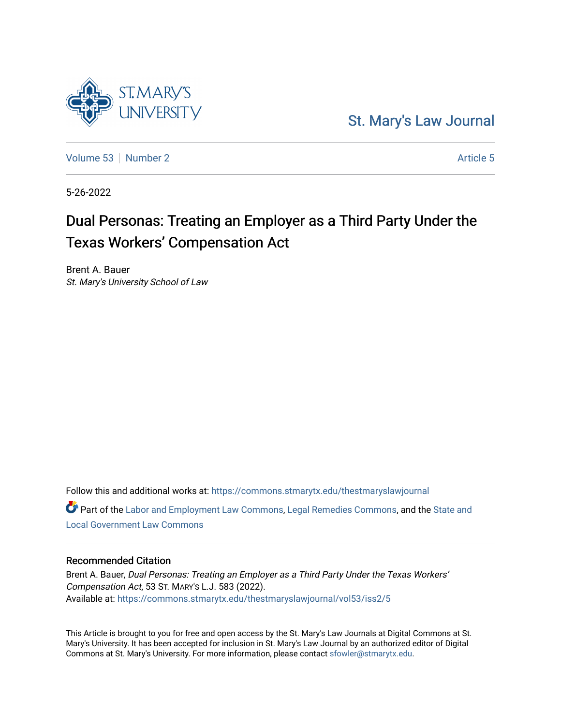

[Volume 53](https://commons.stmarytx.edu/thestmaryslawjournal/vol53) [Number 2](https://commons.stmarytx.edu/thestmaryslawjournal/vol53/iss2) [Article 5](https://commons.stmarytx.edu/thestmaryslawjournal/vol53/iss2/5) Article 5

**ST.MARY'S** 

5-26-2022

# Dual Personas: Treating an Employer as a Third Party Under the Texas Workers' Compensation Act

Brent A. Bauer St. Mary's University School of Law

Follow this and additional works at: [https://commons.stmarytx.edu/thestmaryslawjournal](https://commons.stmarytx.edu/thestmaryslawjournal?utm_source=commons.stmarytx.edu%2Fthestmaryslawjournal%2Fvol53%2Fiss2%2F5&utm_medium=PDF&utm_campaign=PDFCoverPages)  Part of the [Labor and Employment Law Commons](https://network.bepress.com/hgg/discipline/909?utm_source=commons.stmarytx.edu%2Fthestmaryslawjournal%2Fvol53%2Fiss2%2F5&utm_medium=PDF&utm_campaign=PDFCoverPages), [Legal Remedies Commons](https://network.bepress.com/hgg/discipline/618?utm_source=commons.stmarytx.edu%2Fthestmaryslawjournal%2Fvol53%2Fiss2%2F5&utm_medium=PDF&utm_campaign=PDFCoverPages), and the [State and](https://network.bepress.com/hgg/discipline/879?utm_source=commons.stmarytx.edu%2Fthestmaryslawjournal%2Fvol53%2Fiss2%2F5&utm_medium=PDF&utm_campaign=PDFCoverPages) [Local Government Law Commons](https://network.bepress.com/hgg/discipline/879?utm_source=commons.stmarytx.edu%2Fthestmaryslawjournal%2Fvol53%2Fiss2%2F5&utm_medium=PDF&utm_campaign=PDFCoverPages)

## Recommended Citation

Brent A. Bauer, Dual Personas: Treating an Employer as a Third Party Under the Texas Workers' Compensation Act, 53 ST. MARY'S L.J. 583 (2022). Available at: [https://commons.stmarytx.edu/thestmaryslawjournal/vol53/iss2/5](https://commons.stmarytx.edu/thestmaryslawjournal/vol53/iss2/5?utm_source=commons.stmarytx.edu%2Fthestmaryslawjournal%2Fvol53%2Fiss2%2F5&utm_medium=PDF&utm_campaign=PDFCoverPages) 

This Article is brought to you for free and open access by the St. Mary's Law Journals at Digital Commons at St. Mary's University. It has been accepted for inclusion in St. Mary's Law Journal by an authorized editor of Digital Commons at St. Mary's University. For more information, please contact [sfowler@stmarytx.edu](mailto:sfowler@stmarytx.edu).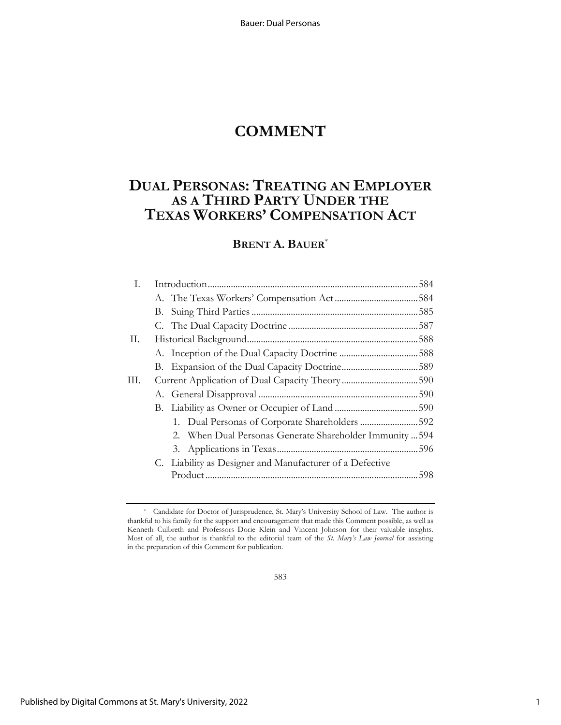Bauer: Dual Personas

# **COMMENT**

# **DUAL PERSONAS: TREATING AN EMPLOYER AS A THIRD PARTY UNDER THE TEXAS WORKERS' COMPENSATION ACT**

## **BRENT A. BAUER**\*

| Ι. |                                                |                                                          |  |
|----|------------------------------------------------|----------------------------------------------------------|--|
|    |                                                |                                                          |  |
|    |                                                |                                                          |  |
|    |                                                |                                                          |  |
| П. |                                                |                                                          |  |
|    |                                                |                                                          |  |
|    |                                                |                                                          |  |
| Ш. | Current Application of Dual Capacity Theory590 |                                                          |  |
|    |                                                |                                                          |  |
|    |                                                |                                                          |  |
|    |                                                | 1. Dual Personas of Corporate Shareholders 592           |  |
|    |                                                | 2. When Dual Personas Generate Shareholder Immunity  594 |  |
|    |                                                |                                                          |  |
|    |                                                | C. Liability as Designer and Manufacturer of a Defective |  |
|    |                                                |                                                          |  |
|    |                                                |                                                          |  |

583

<sup>\*</sup> Candidate for Doctor of Jurisprudence, St. Mary's University School of Law. The author is thankful to his family for the support and encouragement that made this Comment possible, as well as Kenneth Culbreth and Professors Dorie Klein and Vincent Johnson for their valuable insights. Most of all, the author is thankful to the editorial team of the *St. Mary's Law Journal* for assisting in the preparation of this Comment for publication.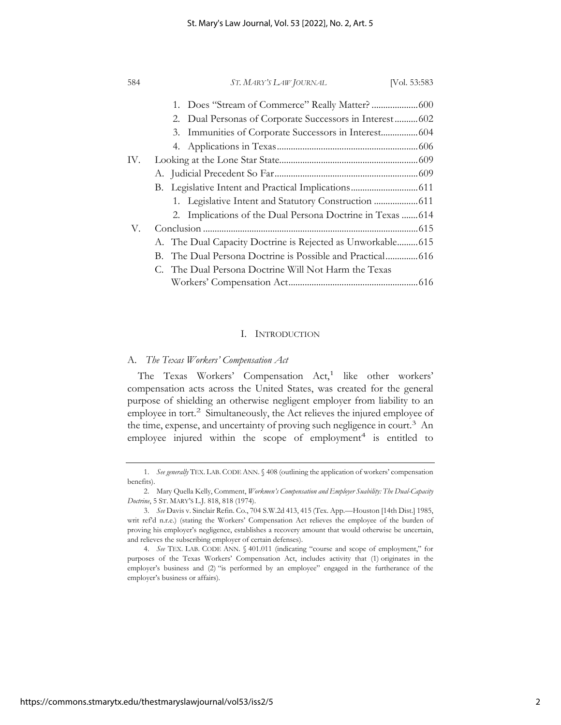| 584 | ST. MARY'S LAW JOURNAL                                      | [Vol. 53:583] |
|-----|-------------------------------------------------------------|---------------|
|     |                                                             |               |
|     | 2. Dual Personas of Corporate Successors in Interest  602   |               |
|     | 3. Immunities of Corporate Successors in Interest 604       |               |
|     |                                                             |               |
| IV. |                                                             |               |
|     |                                                             |               |
|     |                                                             |               |
|     |                                                             |               |
|     | 2. Implications of the Dual Persona Doctrine in Texas  614  |               |
| V.  |                                                             |               |
|     | A. The Dual Capacity Doctrine is Rejected as Unworkable 615 |               |
|     |                                                             |               |
|     | C. The Dual Persona Doctrine Will Not Harm the Texas        |               |
|     |                                                             |               |

### I. INTRODUCTION

#### A. *The Texas Workers' Compensation Act*

The Texas Workers' Compensation Act,<sup>1</sup> like other workers' compensation acts across the United States, was created for the general purpose of shielding an otherwise negligent employer from liability to an employee in tort.<sup>2</sup> Simultaneously, the Act relieves the injured employee of the time, expense, and uncertainty of proving such negligence in court.<sup>3</sup> An employee injured within the scope of  $emplogment<sup>4</sup>$  is entitled to

<sup>1.</sup> *See generally* TEX. LAB. CODE ANN. § 408 (outlining the application of workers' compensation benefits).

<sup>2.</sup> Mary Quella Kelly, Comment, *Workmen's Compensation and Employer Suability: The Dual-Capacity Doctrine*, 5 ST. MARY'S L.J. 818, 818 (1974).

<sup>3.</sup> *See* Davis v. Sinclair Refin. Co., 704 S.W.2d 413, 415 (Tex. App.—Houston [14th Dist.] 1985, writ ref'd n.r.e.) (stating the Workers' Compensation Act relieves the employee of the burden of proving his employer's negligence, establishes a recovery amount that would otherwise be uncertain, and relieves the subscribing employer of certain defenses).

<sup>4.</sup> *See* TEX. LAB. CODE ANN. § 401.011 (indicating "course and scope of employment," for purposes of the Texas Workers' Compensation Act, includes activity that (1) originates in the employer's business and (2) "is performed by an employee" engaged in the furtherance of the employer's business or affairs).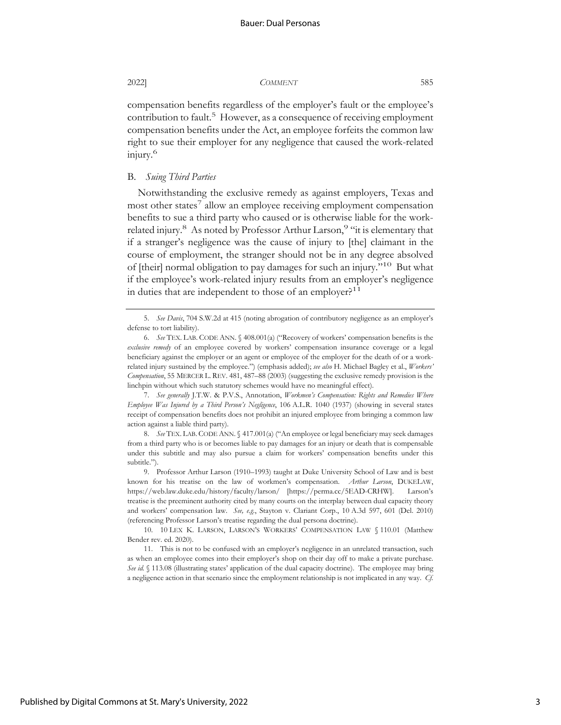compensation benefits regardless of the employer's fault or the employee's contribution to fault.<sup>5</sup> However, as a consequence of receiving employment compensation benefits under the Act, an employee forfeits the common law right to sue their employer for any negligence that caused the work-related injury.6

#### B. *Suing Third Parties*

Notwithstanding the exclusive remedy as against employers, Texas and most other states<sup>7</sup> allow an employee receiving employment compensation benefits to sue a third party who caused or is otherwise liable for the workrelated injury.<sup>8</sup> As noted by Professor Arthur Larson,<sup>9</sup> "it is elementary that if a stranger's negligence was the cause of injury to [the] claimant in the course of employment, the stranger should not be in any degree absolved of [their] normal obligation to pay damages for such an injury."10 But what if the employee's work-related injury results from an employer's negligence in duties that are independent to those of an employer? $11$ 

7. *See generally* J.T.W. & P.V.S., Annotation, *Workmen's Compensation: Rights and Remedies Where Employee Was Injured by a Third Person's Negligence*, 106 A.L.R. 1040 (1937) (showing in several states receipt of compensation benefits does not prohibit an injured employee from bringing a common law action against a liable third party).

8. *See* TEX. LAB. CODE ANN. § 417.001(a) ("An employee or legal beneficiary may seek damages from a third party who is or becomes liable to pay damages for an injury or death that is compensable under this subtitle and may also pursue a claim for workers' compensation benefits under this subtitle.").

9. Professor Arthur Larson (1910–1993) taught at Duke University School of Law and is best known for his treatise on the law of workmen's compensation. *Arthur Larson*, DUKELAW, https://web.law.duke.edu/history/faculty/larson/ [https://perma.cc/5EAD-CRHW]. Larson's treatise is the preeminent authority cited by many courts on the interplay between dual capacity theory and workers' compensation law. *See, e.g.*, Stayton v. Clariant Corp., 10 A.3d 597, 601 (Del. 2010) (referencing Professor Larson's treatise regarding the dual persona doctrine).

<sup>5.</sup> *See Davis*, 704 S.W.2d at 415 (noting abrogation of contributory negligence as an employer's defense to tort liability).

<sup>6.</sup> *See* TEX. LAB. CODE ANN. § 408.001(a) ("Recovery of workers' compensation benefits is the *exclusive remedy* of an employee covered by workers' compensation insurance coverage or a legal beneficiary against the employer or an agent or employee of the employer for the death of or a workrelated injury sustained by the employee.") (emphasis added); *see also* H. Michael Bagley et al., *Workers' Compensation*, 55 MERCER L. REV. 481, 487–88 (2003) (suggesting the exclusive remedy provision is the linchpin without which such statutory schemes would have no meaningful effect).

<sup>10. 10</sup> LEX K. LARSON, LARSON'S WORKERS' COMPENSATION LAW § 110.01 (Matthew Bender rev. ed. 2020).

<sup>11.</sup> This is not to be confused with an employer's negligence in an unrelated transaction, such as when an employee comes into their employer's shop on their day off to make a private purchase. *See id.* § 113.08 (illustrating states' application of the dual capacity doctrine). The employee may bring a negligence action in that scenario since the employment relationship is not implicated in any way. *Cf.*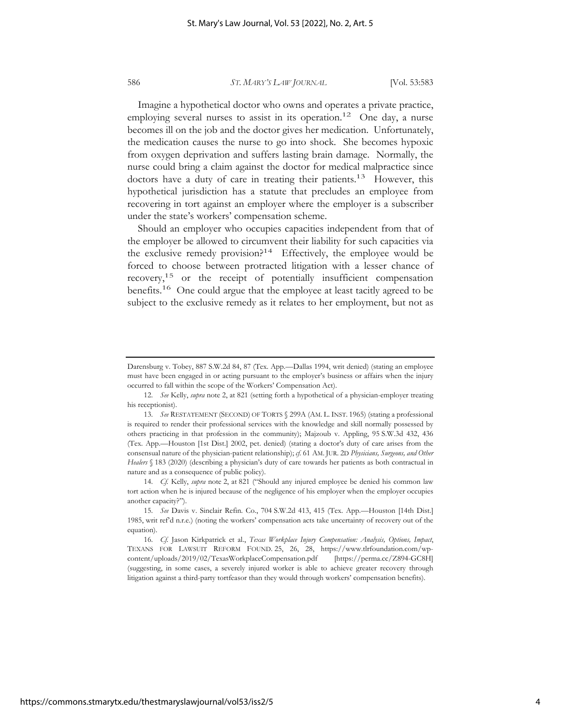Imagine a hypothetical doctor who owns and operates a private practice, employing several nurses to assist in its operation.<sup>12</sup> One day, a nurse becomes ill on the job and the doctor gives her medication. Unfortunately, the medication causes the nurse to go into shock. She becomes hypoxic from oxygen deprivation and suffers lasting brain damage. Normally, the nurse could bring a claim against the doctor for medical malpractice since doctors have a duty of care in treating their patients.<sup>13</sup> However, this hypothetical jurisdiction has a statute that precludes an employee from recovering in tort against an employer where the employer is a subscriber under the state's workers' compensation scheme.

Should an employer who occupies capacities independent from that of the employer be allowed to circumvent their liability for such capacities via the exclusive remedy provision?<sup>14</sup> Effectively, the employee would be forced to choose between protracted litigation with a lesser chance of recovery,15 or the receipt of potentially insufficient compensation benefits.<sup>16</sup> One could argue that the employee at least tacitly agreed to be subject to the exclusive remedy as it relates to her employment, but not as

Darensburg v. Tobey, 887 S.W.2d 84, 87 (Tex. App.—Dallas 1994, writ denied) (stating an employee must have been engaged in or acting pursuant to the employer's business or affairs when the injury occurred to fall within the scope of the Workers' Compensation Act).

<sup>12.</sup> *See* Kelly, *supra* note 2, at 821 (setting forth a hypothetical of a physician-employer treating his receptionist).

<sup>13.</sup> *See* RESTATEMENT (SECOND) OF TORTS § 299A (AM. L. INST. 1965) (stating a professional is required to render their professional services with the knowledge and skill normally possessed by others practicing in that profession in the community); Majzoub v. Appling, 95 S.W.3d 432, 436 (Tex. App.—Houston [1st Dist.] 2002, pet. denied) (stating a doctor's duty of care arises from the consensual nature of the physician-patient relationship); *cf.* 61 AM. JUR. 2D *Physicians, Surgeons, and Other Healers* § 183 (2020) (describing a physician's duty of care towards her patients as both contractual in nature and as a consequence of public policy).

<sup>14.</sup> *Cf.* Kelly, *supra* note 2, at 821 ("Should any injured employee be denied his common law tort action when he is injured because of the negligence of his employer when the employer occupies another capacity?").

<sup>15.</sup> *See* Davis v. Sinclair Refin. Co., 704 S.W.2d 413, 415 (Tex. App.—Houston [14th Dist.] 1985, writ ref'd n.r.e.) (noting the workers' compensation acts take uncertainty of recovery out of the equation).

<sup>16.</sup> *Cf.* Jason Kirkpatrick et al., *Texas Workplace Injury Compensation: Analysis, Options, Impact*, TEXANS FOR LAWSUIT REFORM FOUND. 25, 26, 28, https://www.tlrfoundation.com/wpcontent/uploads/2019/02/TexasWorkplaceCompensation.pdf [https://perma.cc/Z894-GC8H] (suggesting, in some cases, a severely injured worker is able to achieve greater recovery through litigation against a third-party tortfeasor than they would through workers' compensation benefits).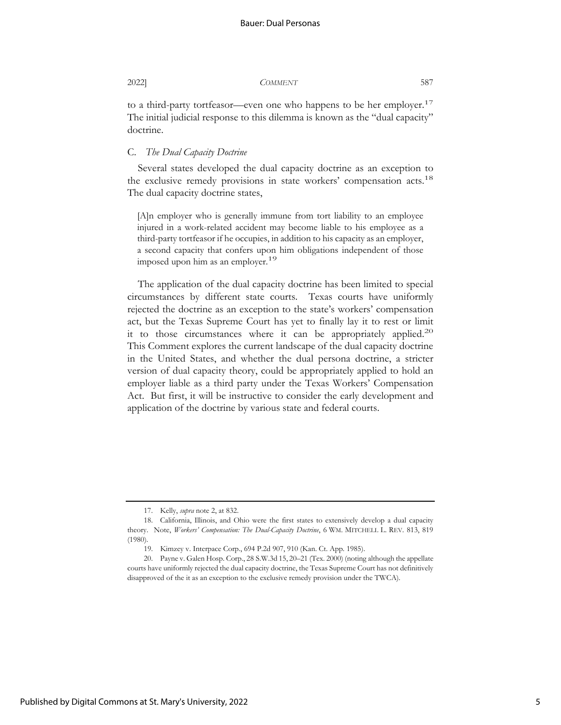to a third-party tortfeasor—even one who happens to be her employer.<sup>17</sup> The initial judicial response to this dilemma is known as the "dual capacity" doctrine.

#### C. *The Dual Capacity Doctrine*

Several states developed the dual capacity doctrine as an exception to the exclusive remedy provisions in state workers' compensation acts.<sup>18</sup> The dual capacity doctrine states,

[A]n employer who is generally immune from tort liability to an employee injured in a work-related accident may become liable to his employee as a third-party tortfeasor if he occupies, in addition to his capacity as an employer, a second capacity that confers upon him obligations independent of those imposed upon him as an employer.<sup>19</sup>

The application of the dual capacity doctrine has been limited to special circumstances by different state courts. Texas courts have uniformly rejected the doctrine as an exception to the state's workers' compensation act, but the Texas Supreme Court has yet to finally lay it to rest or limit it to those circumstances where it can be appropriately applied.<sup>20</sup> This Comment explores the current landscape of the dual capacity doctrine in the United States, and whether the dual persona doctrine, a stricter version of dual capacity theory, could be appropriately applied to hold an employer liable as a third party under the Texas Workers' Compensation Act. But first, it will be instructive to consider the early development and application of the doctrine by various state and federal courts.

<sup>17.</sup> Kelly, *supra* note 2, at 832.

<sup>18.</sup> California, Illinois, and Ohio were the first states to extensively develop a dual capacity theory. Note, *Workers' Compensation: The Dual-Capacity Doctrine*, 6 WM. MITCHELL L. REV. 813, 819 (1980).

<sup>19.</sup> Kimzey v. Interpace Corp., 694 P.2d 907, 910 (Kan. Ct. App. 1985).

<sup>20.</sup> Payne v. Galen Hosp. Corp., 28 S.W.3d 15, 20–21 (Tex. 2000) (noting although the appellate courts have uniformly rejected the dual capacity doctrine, the Texas Supreme Court has not definitively disapproved of the it as an exception to the exclusive remedy provision under the TWCA).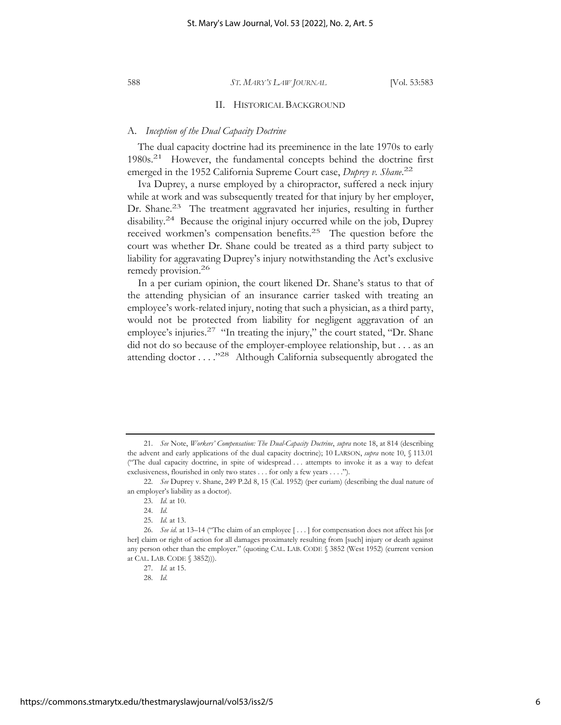#### II. HISTORICAL BACKGROUND

### A. *Inception of the Dual Capacity Doctrine*

The dual capacity doctrine had its preeminence in the late 1970s to early 1980s.21 However, the fundamental concepts behind the doctrine first emerged in the 1952 California Supreme Court case, *Duprey v. Shane.*<sup>22</sup>

Iva Duprey, a nurse employed by a chiropractor, suffered a neck injury while at work and was subsequently treated for that injury by her employer, Dr. Shane.<sup>23</sup> The treatment aggravated her injuries, resulting in further disability.24 Because the original injury occurred while on the job, Duprey received workmen's compensation benefits.25 The question before the court was whether Dr. Shane could be treated as a third party subject to liability for aggravating Duprey's injury notwithstanding the Act's exclusive remedy provision.<sup>26</sup>

In a per curiam opinion, the court likened Dr. Shane's status to that of the attending physician of an insurance carrier tasked with treating an employee's work-related injury, noting that such a physician, as a third party, would not be protected from liability for negligent aggravation of an employee's injuries.<sup>27</sup> "In treating the injury," the court stated, "Dr. Shane did not do so because of the employer-employee relationship, but . . . as an attending doctor . . . ."28 Although California subsequently abrogated the

<sup>21.</sup> *See* Note, *Workers' Compensation: The Dual-Capacity Doctrine*, *supra* note 18, at 814 (describing the advent and early applications of the dual capacity doctrine); 10 LARSON, *supra* note 10, § 113.01 ("The dual capacity doctrine, in spite of widespread . . . attempts to invoke it as a way to defeat exclusiveness, flourished in only two states . . . for only a few years . . . .").

<sup>22.</sup> *See* Duprey v. Shane, 249 P.2d 8, 15 (Cal. 1952) (per curiam) (describing the dual nature of an employer's liability as a doctor).

<sup>23.</sup> *Id.* at 10.

<sup>24.</sup> *Id.*

<sup>25.</sup> *Id.* at 13.

<sup>26.</sup> *See id.* at 13–14 ("The claim of an employee [...] for compensation does not affect his [or her] claim or right of action for all damages proximately resulting from [such] injury or death against any person other than the employer." (quoting CAL. LAB. CODE § 3852 (West 1952) (current version at CAL. LAB. CODE § 3852))).

<sup>27.</sup> *Id.* at 15.

<sup>28.</sup> *Id.*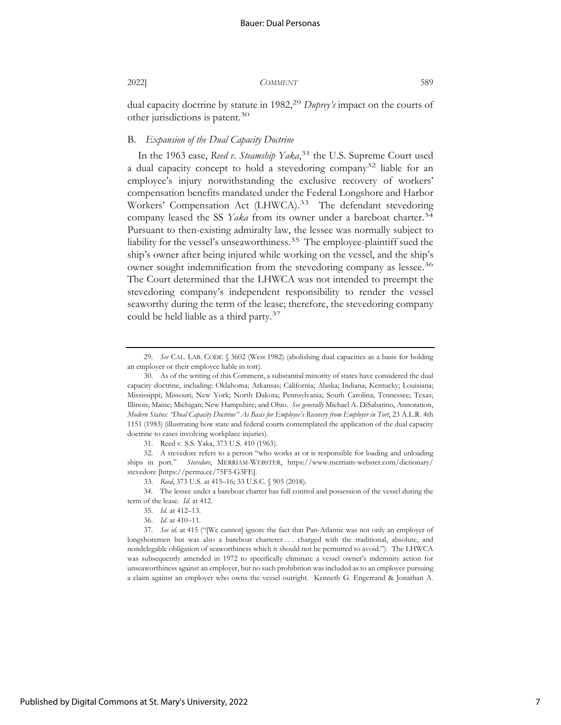dual capacity doctrine by statute in 1982,29 *Duprey's* impact on the courts of other jurisdictions is patent.30

#### B. *Expansion of the Dual Capacity Doctrine*

In the 1963 case, *Reed v. Steamship Yaka*, 31 the U.S. Supreme Court used a dual capacity concept to hold a stevedoring company<sup>32</sup> liable for an employee's injury notwithstanding the exclusive recovery of workers' compensation benefits mandated under the Federal Longshore and Harbor Workers' Compensation Act (LHWCA).<sup>33</sup> The defendant stevedoring company leased the SS *Yaka* from its owner under a bareboat charter.<sup>34</sup> Pursuant to then-existing admiralty law, the lessee was normally subject to liability for the vessel's unseaworthiness.<sup>35</sup> The employee-plaintiff sued the ship's owner after being injured while working on the vessel, and the ship's owner sought indemnification from the stevedoring company as lessee.<sup>36</sup> The Court determined that the LHWCA was not intended to preempt the stevedoring company's independent responsibility to render the vessel seaworthy during the term of the lease; therefore, the stevedoring company could be held liable as a third party.<sup>37</sup>

31. Reed v. S.S. Yaka, 373 U.S. 410 (1963).

<sup>29.</sup> *See* CAL. LAB. CODE § 3602 (West 1982) (abolishing dual capacities as a basis for holding an employer or their employee liable in tort).

<sup>30.</sup> As of the writing of this Comment, a substantial minority of states have considered the dual capacity doctrine, including: Oklahoma; Arkansas; California; Alaska; Indiana; Kentucky; Louisiana; Mississippi; Missouri; New York; North Dakota; Pennsylvania; South Carolina; Tennessee; Texas; Illinois; Maine; Michigan; New Hampshire; and Ohio. *See generally* Michael A. DiSabatino, Annotation, *Modern Status: "Dual Capacity Doctrine" As Basis for Employee's Recovery from Employer in Tort*, 23 A.L.R. 4th 1151 (1983) (illustrating how state and federal courts contemplated the application of the dual capacity doctrine to cases involving workplace injuries).

<sup>32.</sup> A stevedore refers to a person "who works at or is responsible for loading and unloading ships in port." *Stevedore*, MERRIAM-WEBSTER, https://www.merriam-webster.com/dictionary/ stevedore [https://perma.cc/75F5-G3FE].

<sup>33.</sup> *Reed*, 373 U.S. at 415–16; 33 U.S.C. § 905 (2018).

<sup>34.</sup> The lessee under a bareboat charter has full control and possession of the vessel during the term of the lease. *Id.* at 412.

<sup>35.</sup> *Id.* at 412–13.

<sup>36.</sup> *Id.* at 410–11.

<sup>37.</sup> *See id.* at 415 ("[We cannot] ignore the fact that Pan-Atlantic was not only an employer of longshoremen but was also a bareboat charterer . . . charged with the traditional, absolute, and nondelegable obligation of seaworthiness which it should not be permitted to avoid."). The LHWCA was subsequently amended in 1972 to specifically eliminate a vessel owner's indemnity action for unseaworthiness against an employer, but no such prohibition was included as to an employee pursuing a claim against an employer who owns the vessel outright. Kenneth G. Engerrand & Jonathan A.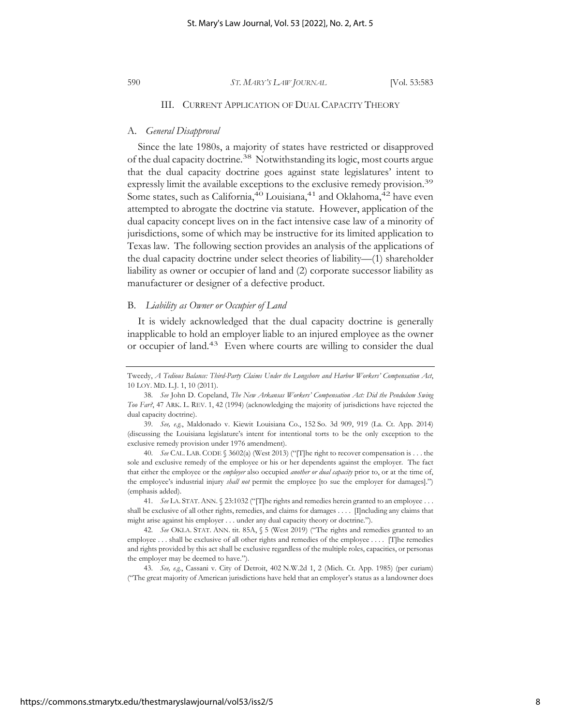### III. CURRENT APPLICATION OF DUAL CAPACITY THEORY

#### A. *General Disapproval*

Since the late 1980s, a majority of states have restricted or disapproved of the dual capacity doctrine.38 Notwithstanding its logic, most courts argue that the dual capacity doctrine goes against state legislatures' intent to expressly limit the available exceptions to the exclusive remedy provision.<sup>39</sup> Some states, such as California,  $40$  Louisiana,  $41$  and Oklahoma,  $42$  have even attempted to abrogate the doctrine via statute. However, application of the dual capacity concept lives on in the fact intensive case law of a minority of jurisdictions, some of which may be instructive for its limited application to Texas law. The following section provides an analysis of the applications of the dual capacity doctrine under select theories of liability—(1) shareholder liability as owner or occupier of land and (2) corporate successor liability as manufacturer or designer of a defective product.

#### B. *Liability as Owner or Occupier of Land*

It is widely acknowledged that the dual capacity doctrine is generally inapplicable to hold an employer liable to an injured employee as the owner or occupier of land.<sup>43</sup> Even where courts are willing to consider the dual

Tweedy, *A Tedious Balance: Third-Party Claims Under the Longshore and Harbor Workers' Compensation Act*, 10 LOY. MD. L.J. 1, 10 (2011).

<sup>38.</sup> *See* John D. Copeland, *The New Arkansas Workers' Compensation Act: Did the Pendulum Swing Too Far?*, 47 ARK. L. REV. 1, 42 (1994) (acknowledging the majority of jurisdictions have rejected the dual capacity doctrine).

<sup>39.</sup> *See, e.g.*, Maldonado v. Kiewit Louisiana Co., 152 So. 3d 909, 919 (La. Ct. App. 2014) (discussing the Louisiana legislature's intent for intentional torts to be the only exception to the exclusive remedy provision under 1976 amendment).

<sup>40.</sup> *See* CAL. LAB. CODE § 3602(a) (West 2013) ("[T]he right to recover compensation is . . . the sole and exclusive remedy of the employee or his or her dependents against the employer. The fact that either the employee or the *employer* also occupied *another or dual capacity* prior to, or at the time of, the employee's industrial injury *shall not* permit the employee [to sue the employer for damages].") (emphasis added).

<sup>41.</sup> *See* LA. STAT.ANN. § 23:1032 ("[T]he rights and remedies herein granted to an employee . . . shall be exclusive of all other rights, remedies, and claims for damages . . . . [I]ncluding any claims that might arise against his employer . . . under any dual capacity theory or doctrine.").

<sup>42.</sup> *See* OKLA. STAT. ANN. tit. 85A, § 5 (West 2019) ("The rights and remedies granted to an employee . . . shall be exclusive of all other rights and remedies of the employee . . . . [T]he remedies and rights provided by this act shall be exclusive regardless of the multiple roles, capacities, or personas the employer may be deemed to have.").

<sup>43.</sup> *See, e.g.*, Cassani v. City of Detroit, 402 N.W.2d 1, 2 (Mich. Ct. App. 1985) (per curiam) ("The great majority of American jurisdictions have held that an employer's status as a landowner does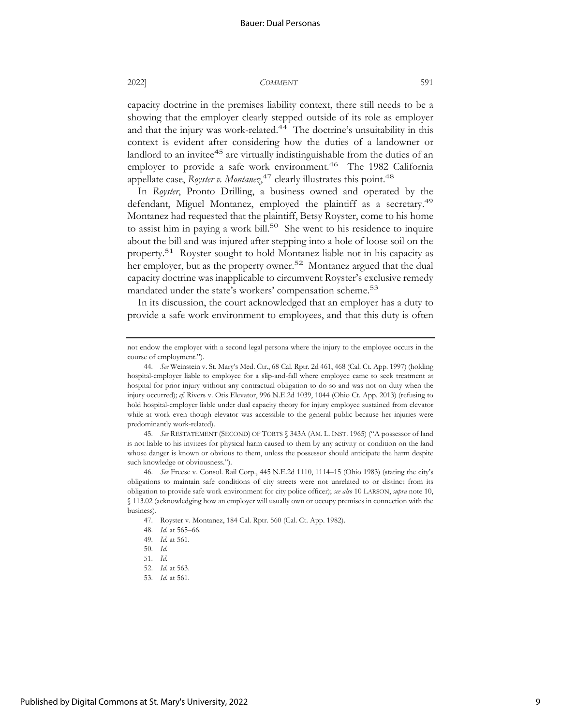capacity doctrine in the premises liability context, there still needs to be a showing that the employer clearly stepped outside of its role as employer and that the injury was work-related.<sup>44</sup> The doctrine's unsuitability in this context is evident after considering how the duties of a landowner or landlord to an invitee<sup>45</sup> are virtually indistinguishable from the duties of an employer to provide a safe work environment.<sup>46</sup> The 1982 California appellate case, *Royster v. Montanez*<sup>47</sup> clearly illustrates this point.<sup>48</sup>

In *Royster*, Pronto Drilling, a business owned and operated by the defendant, Miguel Montanez, employed the plaintiff as a secretary.<sup>49</sup> Montanez had requested that the plaintiff, Betsy Royster, come to his home to assist him in paying a work bill.<sup>50</sup> She went to his residence to inquire about the bill and was injured after stepping into a hole of loose soil on the property.51 Royster sought to hold Montanez liable not in his capacity as her employer, but as the property owner.<sup>52</sup> Montanez argued that the dual capacity doctrine was inapplicable to circumvent Royster's exclusive remedy mandated under the state's workers' compensation scheme.<sup>53</sup>

In its discussion, the court acknowledged that an employer has a duty to provide a safe work environment to employees, and that this duty is often

not endow the employer with a second legal persona where the injury to the employee occurs in the course of employment.").

<sup>44.</sup> *See* Weinstein v. St. Mary's Med. Ctr., 68 Cal. Rptr. 2d 461, 468 (Cal. Ct. App. 1997) (holding hospital-employer liable to employee for a slip-and-fall where employee came to seek treatment at hospital for prior injury without any contractual obligation to do so and was not on duty when the injury occurred);  $f$ . Rivers v. Otis Elevator, 996 N.E.2d 1039, 1044 (Ohio Ct. App. 2013) (refusing to hold hospital-employer liable under dual capacity theory for injury employee sustained from elevator while at work even though elevator was accessible to the general public because her injuries were predominantly work-related).

<sup>45.</sup> *See* RESTATEMENT (SECOND) OF TORTS § 343A (AM. L. INST. 1965) ("A possessor of land is not liable to his invitees for physical harm caused to them by any activity or condition on the land whose danger is known or obvious to them, unless the possessor should anticipate the harm despite such knowledge or obviousness.").

<sup>46.</sup> *See* Freese v. Consol. Rail Corp., 445 N.E.2d 1110, 1114–15 (Ohio 1983) (stating the city's obligations to maintain safe conditions of city streets were not unrelated to or distinct from its obligation to provide safe work environment for city police officer); *see also* 10 LARSON, *supra* note 10, § 113.02 (acknowledging how an employer will usually own or occupy premises in connection with the business).

<sup>47.</sup> Royster v. Montanez, 184 Cal. Rptr. 560 (Cal. Ct. App. 1982).

<sup>48.</sup> *Id.* at 565–66.

<sup>49.</sup> *Id.* at 561.

<sup>50.</sup> *Id.*

<sup>51.</sup> *Id.*

<sup>52.</sup> *Id.* at 563.

<sup>53.</sup> *Id.* at 561.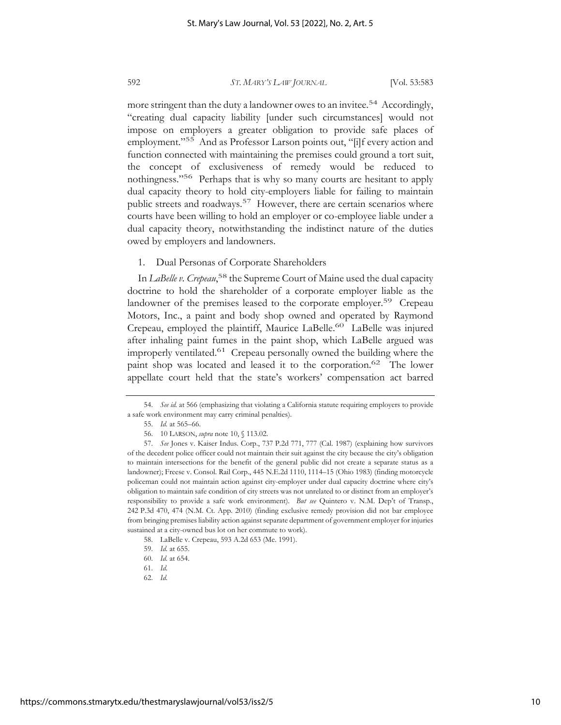more stringent than the duty a landowner owes to an invitee.<sup>54</sup> Accordingly, "creating dual capacity liability [under such circumstances] would not impose on employers a greater obligation to provide safe places of employment."<sup>55</sup> And as Professor Larson points out, "[i]f every action and function connected with maintaining the premises could ground a tort suit, the concept of exclusiveness of remedy would be reduced to nothingness."<sup>56</sup> Perhaps that is why so many courts are hesitant to apply dual capacity theory to hold city-employers liable for failing to maintain public streets and roadways.<sup>57</sup> However, there are certain scenarios where courts have been willing to hold an employer or co-employee liable under a dual capacity theory, notwithstanding the indistinct nature of the duties owed by employers and landowners.

1. Dual Personas of Corporate Shareholders

In *LaBelle v. Crepeau*, 58 the Supreme Court of Maine used the dual capacity doctrine to hold the shareholder of a corporate employer liable as the landowner of the premises leased to the corporate employer.<sup>59</sup> Crepeau Motors, Inc., a paint and body shop owned and operated by Raymond Crepeau, employed the plaintiff, Maurice LaBelle.60 LaBelle was injured after inhaling paint fumes in the paint shop, which LaBelle argued was improperly ventilated.61 Crepeau personally owned the building where the paint shop was located and leased it to the corporation.<sup>62</sup> The lower appellate court held that the state's workers' compensation act barred

<sup>54.</sup> *See id.* at 566 (emphasizing that violating a California statute requiring employers to provide a safe work environment may carry criminal penalties).

<sup>55.</sup> *Id.* at 565–66.

<sup>56. 10</sup> LARSON, *supra* note 10, § 113.02.

<sup>57.</sup> *See* Jones v. Kaiser Indus. Corp., 737 P.2d 771, 777 (Cal. 1987) (explaining how survivors of the decedent police officer could not maintain their suit against the city because the city's obligation to maintain intersections for the benefit of the general public did not create a separate status as a landowner); Freese v. Consol. Rail Corp., 445 N.E.2d 1110, 1114–15 (Ohio 1983) (finding motorcycle policeman could not maintain action against city-employer under dual capacity doctrine where city's obligation to maintain safe condition of city streets was not unrelated to or distinct from an employer's responsibility to provide a safe work environment). *But see* Quintero v. N.M. Dep't of Transp., 242 P.3d 470, 474 (N.M. Ct. App. 2010) (finding exclusive remedy provision did not bar employee from bringing premises liability action against separate department of government employer for injuries sustained at a city-owned bus lot on her commute to work).

<sup>58.</sup> LaBelle v. Crepeau, 593 A.2d 653 (Me. 1991).

<sup>59.</sup> *Id.* at 655.

<sup>60.</sup> *Id.* at 654.

<sup>61.</sup> *Id.*

<sup>62.</sup> *Id.*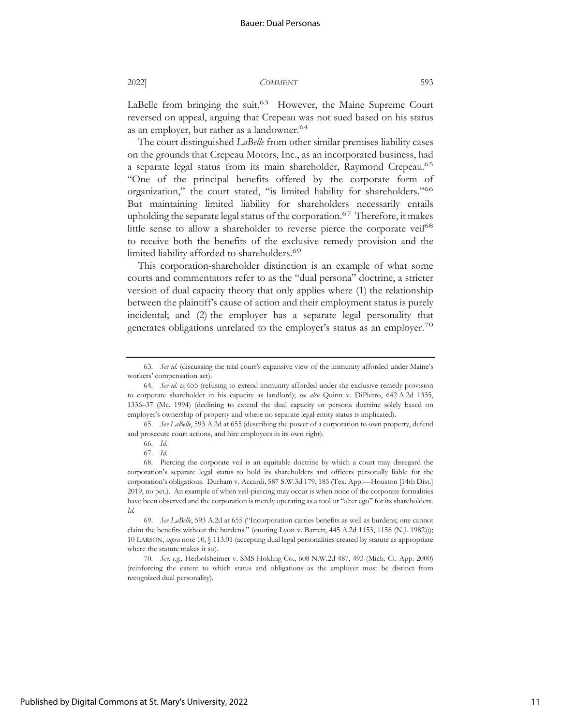LaBelle from bringing the suit.<sup>63</sup> However, the Maine Supreme Court reversed on appeal, arguing that Crepeau was not sued based on his status as an employer, but rather as a landowner.<sup>64</sup>

The court distinguished *LaBelle* from other similar premises liability cases on the grounds that Crepeau Motors, Inc., as an incorporated business, had a separate legal status from its main shareholder, Raymond Crepeau.<sup>65</sup> "One of the principal benefits offered by the corporate form of organization," the court stated, "is limited liability for shareholders."66 But maintaining limited liability for shareholders necessarily entails upholding the separate legal status of the corporation.<sup>67</sup> Therefore, it makes little sense to allow a shareholder to reverse pierce the corporate veil<sup>68</sup> to receive both the benefits of the exclusive remedy provision and the limited liability afforded to shareholders.<sup>69</sup>

This corporation-shareholder distinction is an example of what some courts and commentators refer to as the "dual persona" doctrine, a stricter version of dual capacity theory that only applies where (1) the relationship between the plaintiff's cause of action and their employment status is purely incidental; and (2) the employer has a separate legal personality that generates obligations unrelated to the employer's status as an employer.<sup>70</sup>

<sup>63.</sup> *See id.* (discussing the trial court's expansive view of the immunity afforded under Maine's workers' compensation act).

<sup>64.</sup> *See id.* at 655 (refusing to extend immunity afforded under the exclusive remedy provision to corporate shareholder in his capacity as landlord); *see also* Quinn v. DiPietro, 642 A.2d 1335, 1336–37 (Me. 1994) (declining to extend the dual capacity or persona doctrine solely based on employer's ownership of property and where no separate legal entity status is implicated).

<sup>65.</sup> *See LaBelle*, 593 A.2d at 655 (describing the power of a corporation to own property, defend and prosecute court actions, and hire employees in its own right).

<sup>66.</sup> *Id.*

<sup>67.</sup> *Id.* 

<sup>68.</sup> Piercing the corporate veil is an equitable doctrine by which a court may disregard the corporation's separate legal status to hold its shareholders and officers personally liable for the corporation's obligations. Durham v. Accardi, 587 S.W.3d 179, 185 (Tex. App.—Houston [14th Dist.] 2019, no pet.). An example of when veil-piercing may occur is when none of the corporate formalities have been observed and the corporation is merely operating as a tool or "alter ego" for its shareholders. *Id.*

<sup>69.</sup> *See LaBelle*, 593 A.2d at 655 ("Incorporation carries benefits as well as burdens; one cannot claim the benefits without the burdens." (quoting Lyon v. Barrett, 445 A.2d 1153, 1158 (N.J. 1982))); 10 LARSON, *supra* note 10, § 113.01 (accepting dual legal personalities created by statute as appropriate where the statute makes it so).

<sup>70.</sup> *See, e.g.*, Herbolsheimer v. SMS Holding Co., 608 N.W.2d 487, 493 (Mich. Ct. App. 2000) (reinforcing the extent to which status and obligations as the employer must be distinct from recognized dual personality).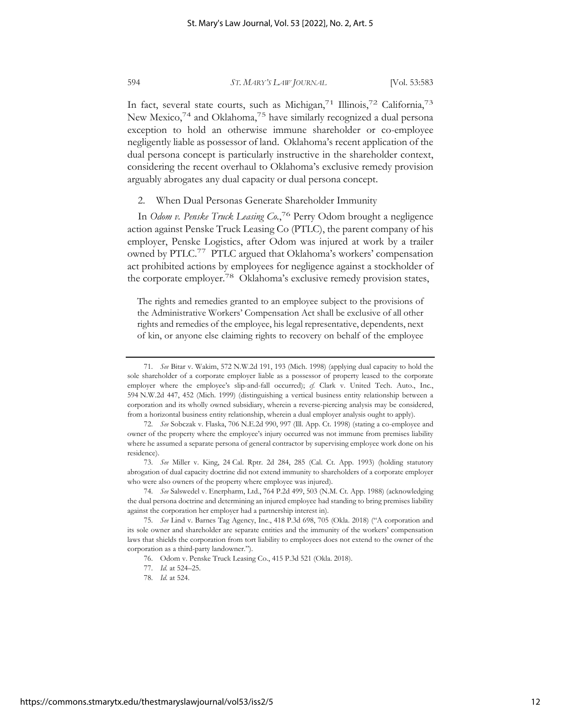In fact, several state courts, such as Michigan,<sup>71</sup> Illinois,<sup>72</sup> California,<sup>73</sup> New Mexico,<sup>74</sup> and Oklahoma,<sup>75</sup> have similarly recognized a dual persona exception to hold an otherwise immune shareholder or co-employee negligently liable as possessor of land. Oklahoma's recent application of the dual persona concept is particularly instructive in the shareholder context, considering the recent overhaul to Oklahoma's exclusive remedy provision arguably abrogates any dual capacity or dual persona concept.

2. When Dual Personas Generate Shareholder Immunity

In *Odom v. Penske Truck Leasing Co.*, 76 Perry Odom brought a negligence action against Penske Truck Leasing Co (PTLC), the parent company of his employer, Penske Logistics, after Odom was injured at work by a trailer owned by PTLC.77 PTLC argued that Oklahoma's workers' compensation act prohibited actions by employees for negligence against a stockholder of the corporate employer.78 Oklahoma's exclusive remedy provision states,

The rights and remedies granted to an employee subject to the provisions of the Administrative Workers' Compensation Act shall be exclusive of all other rights and remedies of the employee, his legal representative, dependents, next of kin, or anyone else claiming rights to recovery on behalf of the employee

<sup>71.</sup> *See* Bitar v. Wakim, 572 N.W.2d 191, 193 (Mich. 1998) (applying dual capacity to hold the sole shareholder of a corporate employer liable as a possessor of property leased to the corporate employer where the employee's slip-and-fall occurred); *cf.* Clark v. United Tech. Auto., Inc., 594 N.W.2d 447, 452 (Mich. 1999) (distinguishing a vertical business entity relationship between a corporation and its wholly owned subsidiary, wherein a reverse-piercing analysis may be considered, from a horizontal business entity relationship, wherein a dual employer analysis ought to apply).

<sup>72.</sup> *See* Sobczak v. Flaska, 706 N.E.2d 990, 997 (Ill. App. Ct. 1998) (stating a co-employee and owner of the property where the employee's injury occurred was not immune from premises liability where he assumed a separate persona of general contractor by supervising employee work done on his residence).

<sup>73.</sup> *See* Miller v. King, 24 Cal. Rptr. 2d 284, 285 (Cal. Ct. App. 1993) (holding statutory abrogation of dual capacity doctrine did not extend immunity to shareholders of a corporate employer who were also owners of the property where employee was injured).

<sup>74.</sup> *See* Salswedel v. Enerpharm, Ltd., 764 P.2d 499, 503 (N.M. Ct. App. 1988) (acknowledging the dual persona doctrine and determining an injured employee had standing to bring premises liability against the corporation her employer had a partnership interest in).

<sup>75.</sup> *See* Lind v. Barnes Tag Agency, Inc., 418 P.3d 698, 705 (Okla. 2018) ("A corporation and its sole owner and shareholder are separate entities and the immunity of the workers' compensation laws that shields the corporation from tort liability to employees does not extend to the owner of the corporation as a third-party landowner.").

<sup>76.</sup> Odom v. Penske Truck Leasing Co., 415 P.3d 521 (Okla. 2018).

<sup>77.</sup> *Id.* at 524–25.

<sup>78.</sup> *Id.* at 524.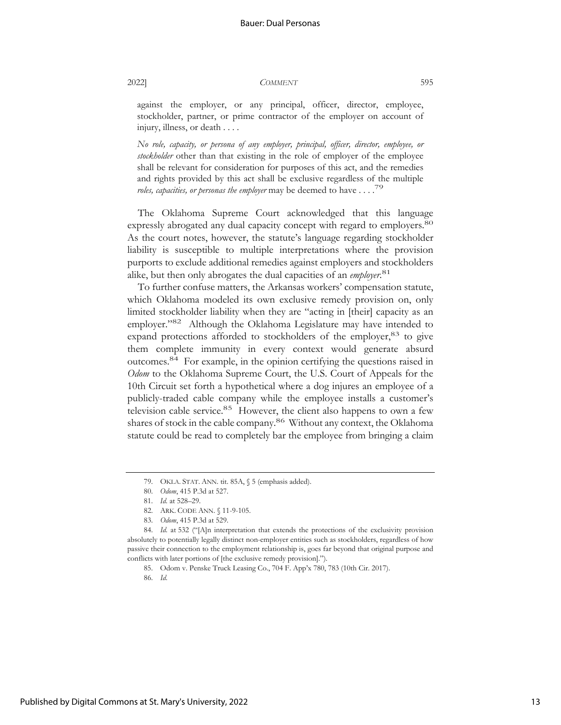against the employer, or any principal, officer, director, employee, stockholder, partner, or prime contractor of the employer on account of injury, illness, or death . . . .

*No role, capacity, or persona of any employer, principal, officer, director, employee, or stockholder* other than that existing in the role of employer of the employee shall be relevant for consideration for purposes of this act, and the remedies and rights provided by this act shall be exclusive regardless of the multiple *roles, capacities, or personas the employer* may be deemed to have . . . .79

The Oklahoma Supreme Court acknowledged that this language expressly abrogated any dual capacity concept with regard to employers.<sup>80</sup> As the court notes, however, the statute's language regarding stockholder liability is susceptible to multiple interpretations where the provision purports to exclude additional remedies against employers and stockholders alike, but then only abrogates the dual capacities of an *employer*.<sup>81</sup>

To further confuse matters, the Arkansas workers' compensation statute, which Oklahoma modeled its own exclusive remedy provision on, only limited stockholder liability when they are "acting in [their] capacity as an employer."<sup>82</sup> Although the Oklahoma Legislature may have intended to expand protections afforded to stockholders of the employer,<sup>83</sup> to give them complete immunity in every context would generate absurd outcomes.84 For example, in the opinion certifying the questions raised in *Odom* to the Oklahoma Supreme Court, the U.S. Court of Appeals for the 10th Circuit set forth a hypothetical where a dog injures an employee of a publicly-traded cable company while the employee installs a customer's television cable service.<sup>85</sup> However, the client also happens to own a few shares of stock in the cable company.<sup>86</sup> Without any context, the Oklahoma statute could be read to completely bar the employee from bringing a claim

<sup>79.</sup> OKLA. STAT. ANN. tit. 85A, § 5 (emphasis added).

<sup>80.</sup> *Odom*, 415 P.3d at 527.

<sup>81.</sup> *Id.* at 528–29.

<sup>82.</sup> ARK. CODE ANN. § 11-9-105.

<sup>83.</sup> *Odom*, 415 P.3d at 529.

<sup>84.</sup> *Id.* at 532 ("[A]n interpretation that extends the protections of the exclusivity provision absolutely to potentially legally distinct non-employer entities such as stockholders, regardless of how passive their connection to the employment relationship is, goes far beyond that original purpose and conflicts with later portions of [the exclusive remedy provision].").

<sup>85.</sup> Odom v. Penske Truck Leasing Co., 704 F. App'x 780, 783 (10th Cir. 2017).

<sup>86.</sup> *Id.*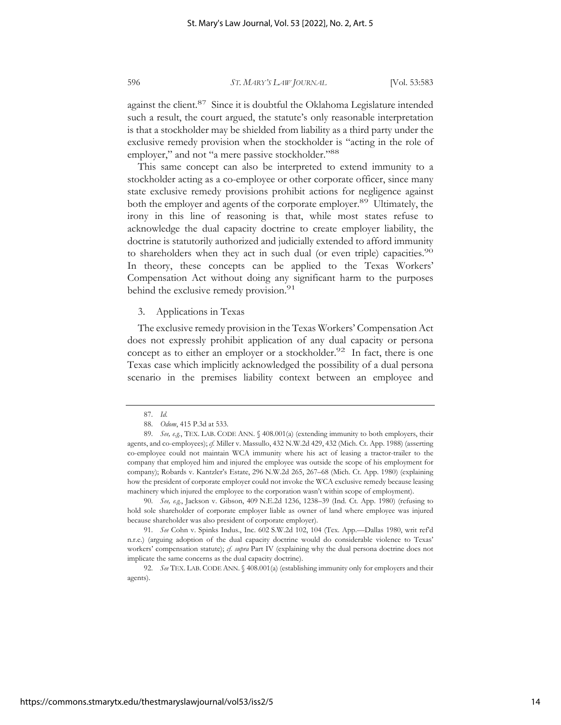against the client.<sup>87</sup> Since it is doubtful the Oklahoma Legislature intended such a result, the court argued, the statute's only reasonable interpretation is that a stockholder may be shielded from liability as a third party under the exclusive remedy provision when the stockholder is "acting in the role of employer," and not "a mere passive stockholder."88

This same concept can also be interpreted to extend immunity to a stockholder acting as a co-employee or other corporate officer, since many state exclusive remedy provisions prohibit actions for negligence against both the employer and agents of the corporate employer.<sup>89</sup> Ultimately, the irony in this line of reasoning is that, while most states refuse to acknowledge the dual capacity doctrine to create employer liability, the doctrine is statutorily authorized and judicially extended to afford immunity to shareholders when they act in such dual (or even triple) capacities.<sup>90</sup> In theory, these concepts can be applied to the Texas Workers' Compensation Act without doing any significant harm to the purposes behind the exclusive remedy provision.<sup>91</sup>

#### 3. Applications in Texas

The exclusive remedy provision in the Texas Workers' Compensation Act does not expressly prohibit application of any dual capacity or persona concept as to either an employer or a stockholder.<sup>92</sup> In fact, there is one Texas case which implicitly acknowledged the possibility of a dual persona scenario in the premises liability context between an employee and

90. *See, e.g.*, Jackson v. Gibson, 409 N.E.2d 1236, 1238–39 (Ind. Ct. App. 1980) (refusing to hold sole shareholder of corporate employer liable as owner of land where employee was injured because shareholder was also president of corporate employer).

91. *See* Cohn v. Spinks Indus., Inc. 602 S.W.2d 102, 104 (Tex. App.—Dallas 1980, writ ref'd n.r.e.) (arguing adoption of the dual capacity doctrine would do considerable violence to Texas' workers' compensation statute); *cf. supra* Part IV (explaining why the dual persona doctrine does not implicate the same concerns as the dual capacity doctrine).

92. *See* TEX. LAB. CODE ANN. § 408.001(a) (establishing immunity only for employers and their agents).

https://commons.stmarytx.edu/thestmaryslawjournal/vol53/iss2/5

<sup>87.</sup> *Id.*

<sup>88.</sup> *Odom*, 415 P.3d at 533.

<sup>89.</sup> *See, e.g.*, TEX. LAB. CODE ANN. § 408.001(a) (extending immunity to both employers, their agents, and co-employees); *cf.* Miller v. Massullo, 432 N.W.2d 429, 432 (Mich. Ct. App. 1988) (asserting co-employee could not maintain WCA immunity where his act of leasing a tractor-trailer to the company that employed him and injured the employee was outside the scope of his employment for company); Robards v. Kantzler's Estate, 296 N.W.2d 265, 267–68 (Mich. Ct. App. 1980) (explaining how the president of corporate employer could not invoke the WCA exclusive remedy because leasing machinery which injured the employee to the corporation wasn't within scope of employment).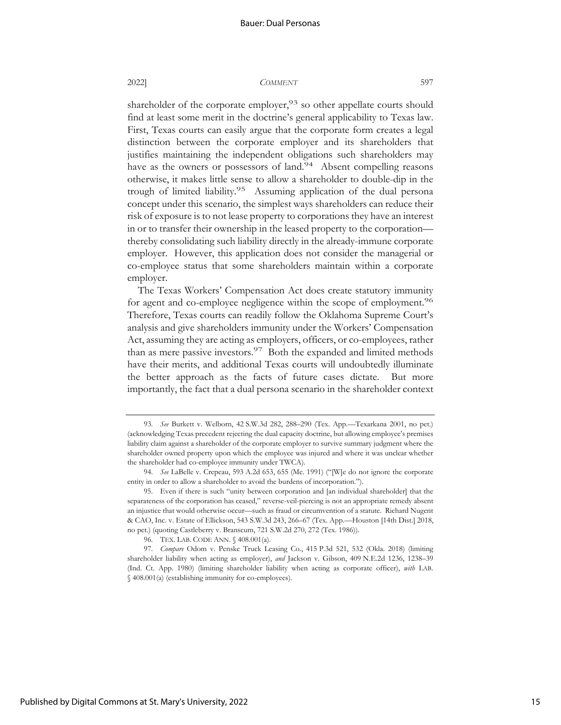shareholder of the corporate employer,<sup>93</sup> so other appellate courts should find at least some merit in the doctrine's general applicability to Texas law. First, Texas courts can easily argue that the corporate form creates a legal distinction between the corporate employer and its shareholders that justifies maintaining the independent obligations such shareholders may have as the owners or possessors of land.<sup>94</sup> Absent compelling reasons otherwise, it makes little sense to allow a shareholder to double-dip in the trough of limited liability.95 Assuming application of the dual persona concept under this scenario, the simplest ways shareholders can reduce their risk of exposure is to not lease property to corporations they have an interest in or to transfer their ownership in the leased property to the corporation thereby consolidating such liability directly in the already-immune corporate employer. However, this application does not consider the managerial or co-employee status that some shareholders maintain within a corporate employer.

The Texas Workers' Compensation Act does create statutory immunity for agent and co-employee negligence within the scope of employment.<sup>96</sup> Therefore, Texas courts can readily follow the Oklahoma Supreme Court's analysis and give shareholders immunity under the Workers' Compensation Act, assuming they are acting as employers, officers, or co-employees, rather than as mere passive investors.<sup>97</sup> Both the expanded and limited methods have their merits, and additional Texas courts will undoubtedly illuminate the better approach as the facts of future cases dictate. But more importantly, the fact that a dual persona scenario in the shareholder context

<sup>93.</sup> *See* Burkett v. Welborn, 42 S.W.3d 282, 288–290 (Tex. App.—Texarkana 2001, no pet.) (acknowledging Texas precedent rejecting the dual capacity doctrine, but allowing employee's premises liability claim against a shareholder of the corporate employer to survive summary judgment where the shareholder owned property upon which the employee was injured and where it was unclear whether the shareholder had co-employee immunity under TWCA).

<sup>94.</sup> *See* LaBelle v. Crepeau, 593 A.2d 653, 655 (Me. 1991) ("[W]e do not ignore the corporate entity in order to allow a shareholder to avoid the burdens of incorporation.").

<sup>95.</sup> Even if there is such "unity between corporation and [an individual shareholder] that the separateness of the corporation has ceased," reverse-veil-piercing is not an appropriate remedy absent an injustice that would otherwise occur—such as fraud or circumvention of a statute. Richard Nugent & CAO, Inc. v. Estate of Ellickson, 543 S.W.3d 243, 266–67 (Tex. App.—Houston [14th Dist.] 2018, no pet.) (quoting Castleberry v. Branscum, 721 S.W.2d 270, 272 (Tex. 1986)).

<sup>96.</sup> TEX. LAB. CODE ANN. § 408.001(a).

<sup>97.</sup> *Compare* Odom v. Penske Truck Leasing Co., 415 P.3d 521, 532 (Okla. 2018) (limiting shareholder liability when acting as employer), *and* Jackson v. Gibson, 409 N.E.2d 1236, 1238–39 (Ind. Ct. App. 1980) (limiting shareholder liability when acting as corporate officer), *with* LAB. § 408.001(a) (establishing immunity for co-employees).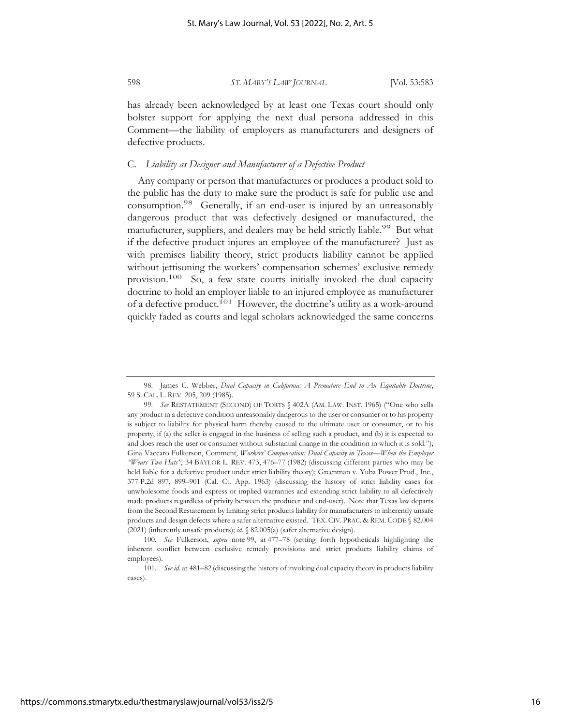has already been acknowledged by at least one Texas court should only bolster support for applying the next dual persona addressed in this Comment—the liability of employers as manufacturers and designers of defective products.

#### C. *Liability as Designer and Manufacturer of a Defective Product*

Any company or person that manufactures or produces a product sold to the public has the duty to make sure the product is safe for public use and consumption.98 Generally, if an end-user is injured by an unreasonably dangerous product that was defectively designed or manufactured, the manufacturer, suppliers, and dealers may be held strictly liable.<sup>99</sup> But what if the defective product injures an employee of the manufacturer? Just as with premises liability theory, strict products liability cannot be applied without jettisoning the workers' compensation schemes' exclusive remedy provision.100 So, a few state courts initially invoked the dual capacity doctrine to hold an employer liable to an injured employee as manufacturer of a defective product.<sup>101</sup> However, the doctrine's utility as a work-around quickly faded as courts and legal scholars acknowledged the same concerns

<sup>98.</sup> James C. Webber, *Dual Capacity in California: A Premature End to An Equitable Doctrine*, 59 S. CAL. L. REV. 205, 209 (1985).

<sup>99.</sup> *See* RESTATEMENT (SECOND) OF TORTS § 402A (AM. LAW. INST. 1965) ("One who sells any product in a defective condition unreasonably dangerous to the user or consumer or to his property is subject to liability for physical harm thereby caused to the ultimate user or consumer, or to his property, if (a) the seller is engaged in the business of selling such a product, and (b) it is expected to and does reach the user or consumer without substantial change in the condition in which it is sold."); Gina Vaccaro Fulkerson, Comment, *Workers' Compensation: Dual Capacity in Texas—When the Employer "Wears Two Hats"*, 34 BAYLOR L. REV. 473, 476–77 (1982) (discussing different parties who may be held liable for a defective product under strict liability theory); Greenman v. Yuba Power Prod., Inc., 377 P.2d 897, 899–901 (Cal. Ct. App. 1963) (discussing the history of strict liability cases for unwholesome foods and express or implied warranties and extending strict liability to all defectively made products regardless of privity between the producer and end-user). Note that Texas law departs from the Second Restatement by limiting strict products liability for manufacturers to inherently unsafe products and design defects where a safer alternative existed. TEX. CIV. PRAC. & REM. CODE § 82.004 (2021) (inherently unsafe products); *id.* § 82.005(a) (safer alternative design).

<sup>100.</sup> *See* Fulkerson, *supra* note 99, at 477–78 (setting forth hypotheticals highlighting the inherent conflict between exclusive remedy provisions and strict products liability claims of employees).

<sup>101.</sup> *See id.* at 481–82 (discussing the history of invoking dual capacity theory in products liability cases).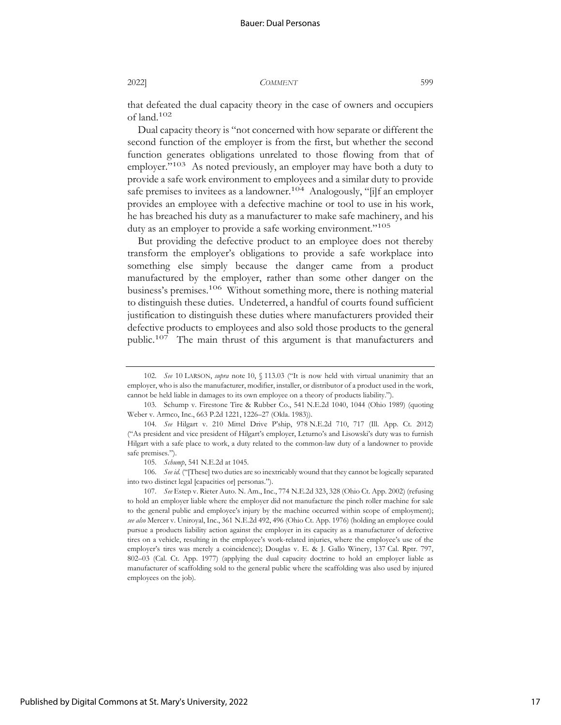that defeated the dual capacity theory in the case of owners and occupiers of land.102

Dual capacity theory is "not concerned with how separate or different the second function of the employer is from the first, but whether the second function generates obligations unrelated to those flowing from that of employer."<sup>103</sup> As noted previously, an employer may have both a duty to provide a safe work environment to employees and a similar duty to provide safe premises to invitees as a landowner.<sup>104</sup> Analogously, "[i]f an employer provides an employee with a defective machine or tool to use in his work, he has breached his duty as a manufacturer to make safe machinery, and his duty as an employer to provide a safe working environment."<sup>105</sup>

But providing the defective product to an employee does not thereby transform the employer's obligations to provide a safe workplace into something else simply because the danger came from a product manufactured by the employer, rather than some other danger on the business's premises.<sup>106</sup> Without something more, there is nothing material to distinguish these duties. Undeterred, a handful of courts found sufficient justification to distinguish these duties where manufacturers provided their defective products to employees and also sold those products to the general public.107 The main thrust of this argument is that manufacturers and

106. *See id.* ("[These] two duties are so inextricably wound that they cannot be logically separated into two distinct legal [capacities or] personas.").

107. *See* Estep v. Rieter Auto. N. Am., Inc., 774 N.E.2d 323, 328 (Ohio Ct. App. 2002) (refusing to hold an employer liable where the employer did not manufacture the pinch roller machine for sale to the general public and employee's injury by the machine occurred within scope of employment); *see also* Mercer v. Uniroyal, Inc., 361 N.E.2d 492, 496 (Ohio Ct. App. 1976) (holding an employee could pursue a products liability action against the employer in its capacity as a manufacturer of defective tires on a vehicle, resulting in the employee's work-related injuries, where the employee's use of the employer's tires was merely a coincidence); Douglas v. E. & J. Gallo Winery, 137 Cal. Rptr. 797, 802–03 (Cal. Ct. App. 1977) (applying the dual capacity doctrine to hold an employer liable as manufacturer of scaffolding sold to the general public where the scaffolding was also used by injured employees on the job).

Published by Digital Commons at St. Mary's University, 2022

<sup>102.</sup> *See* 10 LARSON, *supra* note 10, § 113.03 ("It is now held with virtual unanimity that an employer, who is also the manufacturer, modifier, installer, or distributor of a product used in the work, cannot be held liable in damages to its own employee on a theory of products liability.").

<sup>103.</sup> Schump v. Firestone Tire & Rubber Co., 541 N.E.2d 1040, 1044 (Ohio 1989) (quoting Weber v. Armco, Inc., 663 P.2d 1221, 1226–27 (Okla. 1983)).

<sup>104.</sup> *See* Hilgart v. 210 Mittel Drive P'ship, 978 N.E.2d 710, 717 (Ill. App. Ct. 2012) ("As president and vice president of Hilgart's employer, Leturno's and Lisowski's duty was to furnish Hilgart with a safe place to work, a duty related to the common-law duty of a landowner to provide safe premises.").

<sup>105.</sup> *Schump*, 541 N.E.2d at 1045.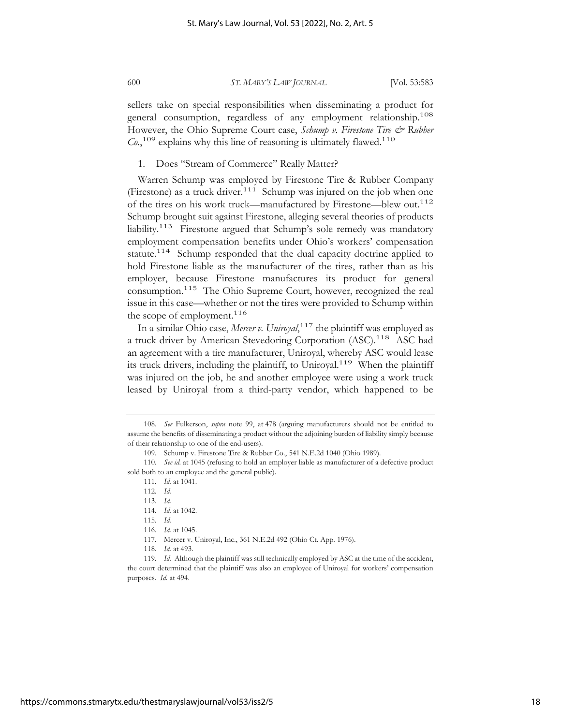sellers take on special responsibilities when disseminating a product for

general consumption, regardless of any employment relationship.<sup>108</sup> However, the Ohio Supreme Court case, *Schump v. Firestone Tire & Rubber Co.*, 109 explains why this line of reasoning is ultimately flawed.110

1. Does "Stream of Commerce" Really Matter?

Warren Schump was employed by Firestone Tire & Rubber Company (Firestone) as a truck driver.<sup>111</sup> Schump was injured on the job when one of the tires on his work truck—manufactured by Firestone—blew out.112 Schump brought suit against Firestone, alleging several theories of products liability.113 Firestone argued that Schump's sole remedy was mandatory employment compensation benefits under Ohio's workers' compensation statute.<sup>114</sup> Schump responded that the dual capacity doctrine applied to hold Firestone liable as the manufacturer of the tires, rather than as his employer, because Firestone manufactures its product for general consumption.115 The Ohio Supreme Court, however, recognized the real issue in this case—whether or not the tires were provided to Schump within the scope of employment.<sup>116</sup>

In a similar Ohio case, *Mercer v. Uniroyal*, 117 the plaintiff was employed as a truck driver by American Stevedoring Corporation (ASC).<sup>118</sup> ASC had an agreement with a tire manufacturer, Uniroyal, whereby ASC would lease its truck drivers, including the plaintiff, to Uniroyal.<sup>119</sup> When the plaintiff was injured on the job, he and another employee were using a work truck leased by Uniroyal from a third-party vendor, which happened to be

114. *Id.* at 1042.

116. *Id.* at 1045.

<sup>108.</sup> *See* Fulkerson, *supra* note 99, at 478 (arguing manufacturers should not be entitled to assume the benefits of disseminating a product without the adjoining burden of liability simply because of their relationship to one of the end-users).

<sup>109.</sup> Schump v. Firestone Tire & Rubber Co., 541 N.E.2d 1040 (Ohio 1989).

<sup>110.</sup> *See id.* at 1045 (refusing to hold an employer liable as manufacturer of a defective product sold both to an employee and the general public).

<sup>111.</sup> *Id.* at 1041.

<sup>112.</sup> *Id.*

<sup>113.</sup> *Id.*

<sup>115.</sup> *Id.*

<sup>117.</sup> Mercer v. Uniroyal, Inc., 361 N.E.2d 492 (Ohio Ct. App. 1976).

<sup>118.</sup> *Id.* at 493.

<sup>119.</sup> *Id.* Although the plaintiff was still technically employed by ASC at the time of the accident, the court determined that the plaintiff was also an employee of Uniroyal for workers' compensation purposes. *Id.* at 494.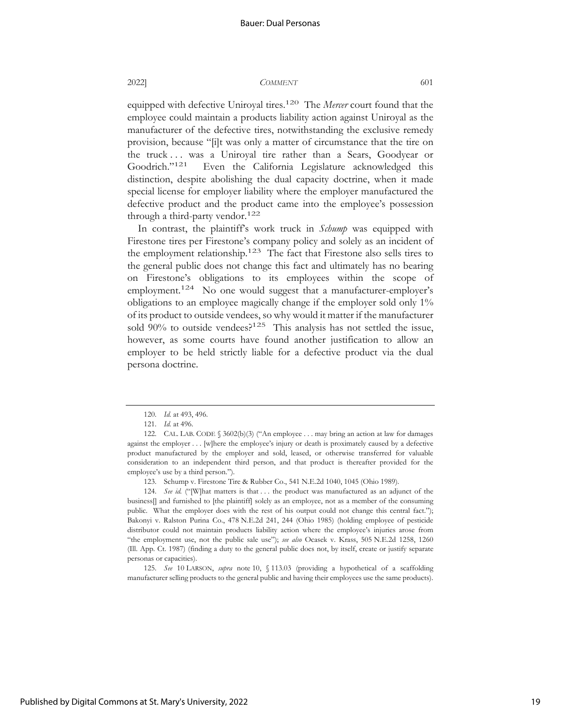equipped with defective Uniroyal tires.<sup>120</sup> The *Mercer* court found that the employee could maintain a products liability action against Uniroyal as the manufacturer of the defective tires, notwithstanding the exclusive remedy provision, because "[i]t was only a matter of circumstance that the tire on the truck . . . was a Uniroyal tire rather than a Sears, Goodyear or Goodrich."121 Even the California Legislature acknowledged this distinction, despite abolishing the dual capacity doctrine, when it made special license for employer liability where the employer manufactured the defective product and the product came into the employee's possession through a third-party vendor.<sup>122</sup>

In contrast, the plaintiff's work truck in *Schump* was equipped with Firestone tires per Firestone's company policy and solely as an incident of the employment relationship.<sup>123</sup> The fact that Firestone also sells tires to the general public does not change this fact and ultimately has no bearing on Firestone's obligations to its employees within the scope of employment.<sup>124</sup> No one would suggest that a manufacturer-employer's obligations to an employee magically change if the employer sold only 1% of its product to outside vendees, so why would it matter if the manufacturer sold  $90\%$  to outside vendees?<sup>125</sup> This analysis has not settled the issue, however, as some courts have found another justification to allow an employer to be held strictly liable for a defective product via the dual persona doctrine.

125. *See* 10 LARSON, *supra* note 10, § 113.03 (providing a hypothetical of a scaffolding manufacturer selling products to the general public and having their employees use the same products).

<sup>120.</sup> *Id.* at 493, 496.

<sup>121.</sup> *Id.* at 496.

<sup>122.</sup> CAL. LAB. CODE § 3602(b)(3) ("An employee . . . may bring an action at law for damages against the employer . . . [w]here the employee's injury or death is proximately caused by a defective product manufactured by the employer and sold, leased, or otherwise transferred for valuable consideration to an independent third person, and that product is thereafter provided for the employee's use by a third person.").

<sup>123.</sup> Schump v. Firestone Tire & Rubber Co., 541 N.E.2d 1040, 1045 (Ohio 1989).

<sup>124.</sup> *See id.* ("[W]hat matters is that . . . the product was manufactured as an adjunct of the business[] and furnished to [the plaintiff] solely as an employee, not as a member of the consuming public. What the employer does with the rest of his output could not change this central fact."); Bakonyi v. Ralston Purina Co., 478 N.E.2d 241, 244 (Ohio 1985) (holding employee of pesticide distributor could not maintain products liability action where the employee's injuries arose from "the employment use, not the public sale use"); *see also* Ocasek v. Krass, 505 N.E.2d 1258, 1260 (Ill. App. Ct. 1987) (finding a duty to the general public does not, by itself, create or justify separate personas or capacities).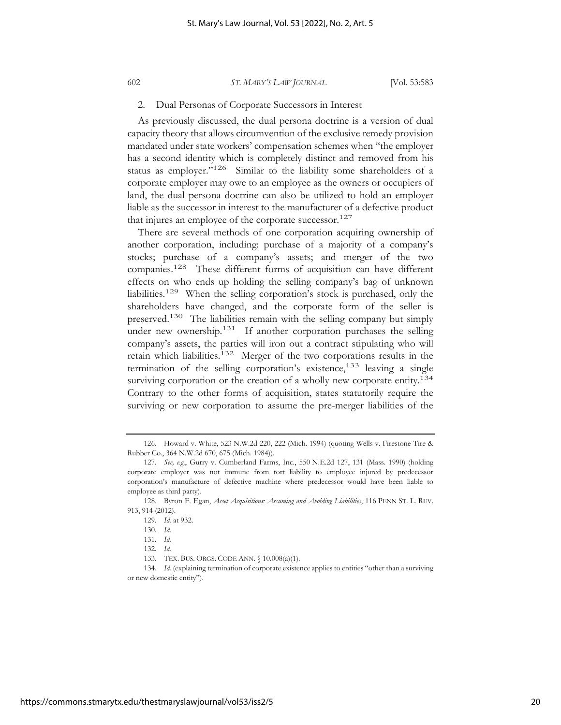#### 2. Dual Personas of Corporate Successors in Interest

As previously discussed, the dual persona doctrine is a version of dual capacity theory that allows circumvention of the exclusive remedy provision mandated under state workers' compensation schemes when "the employer has a second identity which is completely distinct and removed from his status as employer."<sup>126</sup> Similar to the liability some shareholders of a corporate employer may owe to an employee as the owners or occupiers of land, the dual persona doctrine can also be utilized to hold an employer liable as the successor in interest to the manufacturer of a defective product that injures an employee of the corporate successor.<sup>127</sup>

There are several methods of one corporation acquiring ownership of another corporation, including: purchase of a majority of a company's stocks; purchase of a company's assets; and merger of the two companies.128 These different forms of acquisition can have different effects on who ends up holding the selling company's bag of unknown liabilities.129 When the selling corporation's stock is purchased, only the shareholders have changed, and the corporate form of the seller is preserved.130 The liabilities remain with the selling company but simply under new ownership.<sup>131</sup> If another corporation purchases the selling company's assets, the parties will iron out a contract stipulating who will retain which liabilities.132 Merger of the two corporations results in the termination of the selling corporation's existence,<sup>133</sup> leaving a single surviving corporation or the creation of a wholly new corporate entity.<sup>134</sup> Contrary to the other forms of acquisition, states statutorily require the surviving or new corporation to assume the pre-merger liabilities of the

<sup>126.</sup> Howard v. White, 523 N.W.2d 220, 222 (Mich. 1994) (quoting Wells v. Firestone Tire & Rubber Co., 364 N.W.2d 670, 675 (Mich. 1984)).

<sup>127.</sup> *See, e.g.*, Gurry v. Cumberland Farms, Inc., 550 N.E.2d 127, 131 (Mass. 1990) (holding corporate employer was not immune from tort liability to employee injured by predecessor corporation's manufacture of defective machine where predecessor would have been liable to employee as third party).

<sup>128.</sup> Byron F. Egan, *Asset Acquisitions: Assuming and Avoiding Liabilities*, 116 PENN ST. L. REV. 913, 914 (2012).

<sup>129.</sup> *Id.* at 932.

<sup>130.</sup> *Id.*

<sup>131.</sup> *Id.*

<sup>132.</sup> *Id.*

<sup>133.</sup> TEX. BUS. ORGS. CODE ANN. § 10.008(a)(1).

<sup>134.</sup> *Id.* (explaining termination of corporate existence applies to entities "other than a surviving or new domestic entity").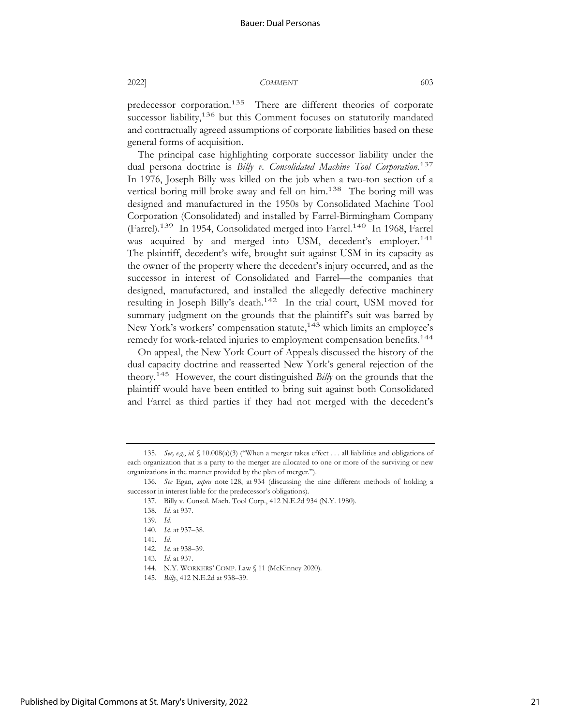predecessor corporation.<sup>135</sup> There are different theories of corporate successor liability,<sup>136</sup> but this Comment focuses on statutorily mandated and contractually agreed assumptions of corporate liabilities based on these general forms of acquisition.

The principal case highlighting corporate successor liability under the dual persona doctrine is *Billy v. Consolidated Machine Tool Corporation*. 137 In 1976, Joseph Billy was killed on the job when a two-ton section of a vertical boring mill broke away and fell on him.<sup>138</sup> The boring mill was designed and manufactured in the 1950s by Consolidated Machine Tool Corporation (Consolidated) and installed by Farrel-Birmingham Company (Farrel).<sup>139</sup> In 1954, Consolidated merged into Farrel.<sup>140</sup> In 1968, Farrel was acquired by and merged into USM, decedent's employer.<sup>141</sup> The plaintiff, decedent's wife, brought suit against USM in its capacity as the owner of the property where the decedent's injury occurred, and as the successor in interest of Consolidated and Farrel—the companies that designed, manufactured, and installed the allegedly defective machinery resulting in Joseph Billy's death.142 In the trial court, USM moved for summary judgment on the grounds that the plaintiff's suit was barred by New York's workers' compensation statute,<sup>143</sup> which limits an employee's remedy for work-related injuries to employment compensation benefits.<sup>144</sup>

On appeal, the New York Court of Appeals discussed the history of the dual capacity doctrine and reasserted New York's general rejection of the theory.145 However, the court distinguished *Billy* on the grounds that the plaintiff would have been entitled to bring suit against both Consolidated and Farrel as third parties if they had not merged with the decedent's

<sup>135.</sup> *See, e.g.*, *id.* § 10.008(a)(3) ("When a merger takes effect . . . all liabilities and obligations of each organization that is a party to the merger are allocated to one or more of the surviving or new organizations in the manner provided by the plan of merger.").

<sup>136.</sup> *See* Egan, *supra* note 128, at 934 (discussing the nine different methods of holding a successor in interest liable for the predecessor's obligations).

<sup>137.</sup> Billy v. Consol. Mach. Tool Corp., 412 N.E.2d 934 (N.Y. 1980).

<sup>138.</sup> *Id.* at 937.

<sup>139.</sup> *Id.*

<sup>140.</sup> *Id.* at 937–38.

<sup>141.</sup> *Id.*

<sup>142.</sup> *Id.* at 938–39.

<sup>143.</sup> *Id.* at 937.

<sup>144.</sup> N.Y. WORKERS' COMP. Law § 11 (McKinney 2020).

<sup>145.</sup> *Billy*, 412 N.E.2d at 938–39.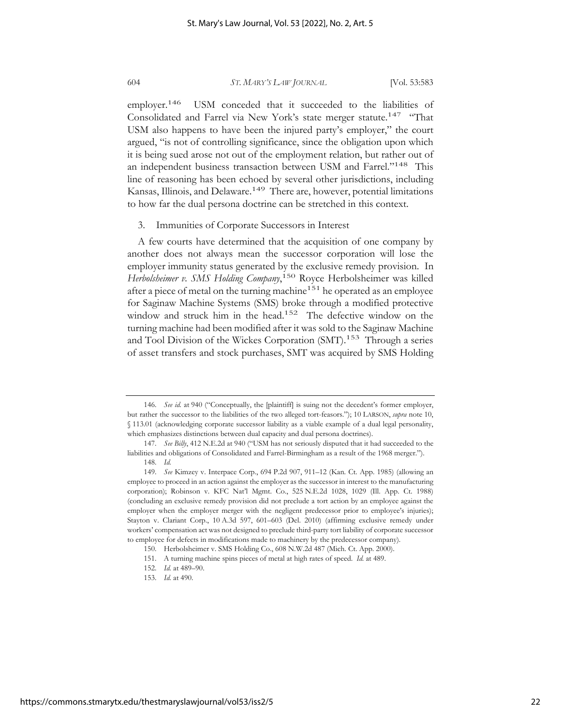employer.<sup>146</sup> USM conceded that it succeeded to the liabilities of Consolidated and Farrel via New York's state merger statute.<sup>147</sup> "That USM also happens to have been the injured party's employer," the court argued, "is not of controlling significance, since the obligation upon which it is being sued arose not out of the employment relation, but rather out of an independent business transaction between USM and Farrel."148 This line of reasoning has been echoed by several other jurisdictions, including Kansas, Illinois, and Delaware.<sup>149</sup> There are, however, potential limitations to how far the dual persona doctrine can be stretched in this context.

#### 3. Immunities of Corporate Successors in Interest

A few courts have determined that the acquisition of one company by another does not always mean the successor corporation will lose the employer immunity status generated by the exclusive remedy provision. In *Herbolsheimer v. SMS Holding Company*, 150 Royce Herbolsheimer was killed after a piece of metal on the turning machine<sup>151</sup> he operated as an employee for Saginaw Machine Systems (SMS) broke through a modified protective window and struck him in the head.<sup>152</sup> The defective window on the turning machine had been modified after it was sold to the Saginaw Machine and Tool Division of the Wickes Corporation (SMT).<sup>153</sup> Through a series of asset transfers and stock purchases, SMT was acquired by SMS Holding

<sup>146.</sup> *See id.* at 940 ("Conceptually, the [plaintiff] is suing not the decedent's former employer, but rather the successor to the liabilities of the two alleged tort-feasors."); 10 LARSON, *supra* note 10, § 113.01 (acknowledging corporate successor liability as a viable example of a dual legal personality, which emphasizes distinctions between dual capacity and dual persona doctrines).

<sup>147.</sup> *See Billy*, 412 N.E.2d at 940 ("USM has not seriously disputed that it had succeeded to the liabilities and obligations of Consolidated and Farrel-Birmingham as a result of the 1968 merger."). 148. *Id.*

<sup>149.</sup> *See* Kimzey v. Interpace Corp., 694 P.2d 907, 911–12 (Kan. Ct. App. 1985) (allowing an employee to proceed in an action against the employer as the successor in interest to the manufacturing corporation); Robinson v. KFC Nat'l Mgmt. Co., 525 N.E.2d 1028, 1029 (Ill. App. Ct. 1988) (concluding an exclusive remedy provision did not preclude a tort action by an employee against the employer when the employer merger with the negligent predecessor prior to employee's injuries); Stayton v. Clariant Corp., 10 A.3d 597, 601–603 (Del. 2010) (affirming exclusive remedy under workers' compensation act was not designed to preclude third-party tort liability of corporate successor to employee for defects in modifications made to machinery by the predecessor company).

<sup>150.</sup> Herbolsheimer v. SMS Holding Co., 608 N.W.2d 487 (Mich. Ct. App. 2000).

<sup>151.</sup> A turning machine spins pieces of metal at high rates of speed. *Id.* at 489.

<sup>152.</sup> *Id.* at 489–90.

<sup>153.</sup> *Id.* at 490.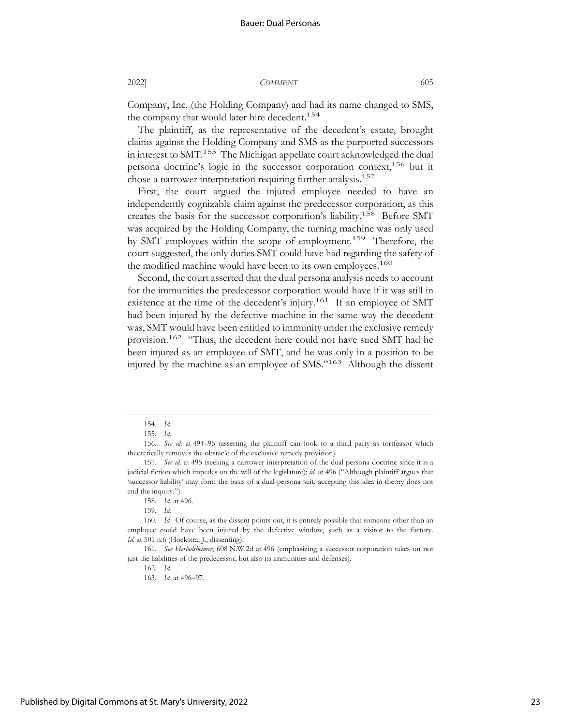Company, Inc. (the Holding Company) and had its name changed to SMS, the company that would later hire decedent.<sup>154</sup>

The plaintiff, as the representative of the decedent's estate, brought claims against the Holding Company and SMS as the purported successors in interest to SMT.<sup>155</sup> The Michigan appellate court acknowledged the dual persona doctrine's logic in the successor corporation context,<sup>156</sup> but it chose a narrower interpretation requiring further analysis.<sup>157</sup>

First, the court argued the injured employee needed to have an independently cognizable claim against the predecessor corporation, as this creates the basis for the successor corporation's liability.158 Before SMT was acquired by the Holding Company, the turning machine was only used by SMT employees within the scope of employment.<sup>159</sup> Therefore, the court suggested, the only duties SMT could have had regarding the safety of the modified machine would have been to its own employees.<sup>160</sup>

Second, the court asserted that the dual persona analysis needs to account for the immunities the predecessor corporation would have if it was still in existence at the time of the decedent's injury.<sup>161</sup> If an employee of SMT had been injured by the defective machine in the same way the decedent was, SMT would have been entitled to immunity under the exclusive remedy provision.<sup>162</sup> "Thus, the decedent here could not have sued SMT had he been injured as an employee of SMT, and he was only in a position to be injured by the machine as an employee of SMS."163 Although the dissent

<sup>154.</sup> *Id.*

<sup>155.</sup> *Id.*

<sup>156.</sup> *See id.* at 494–95 (asserting the plaintiff can look to a third party as tortfeasor which theoretically removes the obstacle of the exclusive remedy provision).

<sup>157.</sup> *See id.* at 495 (seeking a narrower interpretation of the dual persona doctrine since it is a judicial fiction which impedes on the will of the legislature); *id.* at 496 ("Although plaintiff argues that 'successor liability' may form the basis of a dual-persona suit, accepting this idea in theory does not end the inquiry.").

<sup>158.</sup> *Id.* at 496.

<sup>159.</sup> *Id.*

<sup>160.</sup> *Id.* Of course, as the dissent points out, it is entirely possible that someone other than an employee could have been injured by the defective window, such as a visitor to the factory. *Id.* at 501 n.6 (Hoekstra, J., dissenting).

<sup>161.</sup> *See Herbolsheimer*, 608 N.W.2d at 496 (emphasizing a successor corporation takes on not just the liabilities of the predecessor, but also its immunities and defenses).

<sup>162.</sup> *Id.*

<sup>163.</sup> *Id.* at 496–97.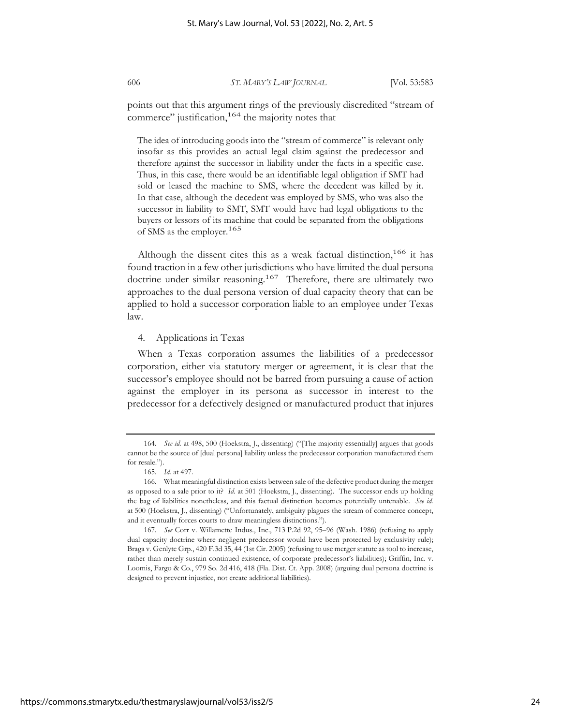points out that this argument rings of the previously discredited "stream of commerce" justification,<sup>164</sup> the majority notes that

The idea of introducing goods into the "stream of commerce" is relevant only insofar as this provides an actual legal claim against the predecessor and therefore against the successor in liability under the facts in a specific case. Thus, in this case, there would be an identifiable legal obligation if SMT had sold or leased the machine to SMS, where the decedent was killed by it. In that case, although the decedent was employed by SMS, who was also the successor in liability to SMT, SMT would have had legal obligations to the buyers or lessors of its machine that could be separated from the obligations of SMS as the employer.165

Although the dissent cites this as a weak factual distinction,  $166$  it has found traction in a few other jurisdictions who have limited the dual persona doctrine under similar reasoning.<sup>167</sup> Therefore, there are ultimately two approaches to the dual persona version of dual capacity theory that can be applied to hold a successor corporation liable to an employee under Texas law.

#### 4. Applications in Texas

When a Texas corporation assumes the liabilities of a predecessor corporation, either via statutory merger or agreement, it is clear that the successor's employee should not be barred from pursuing a cause of action against the employer in its persona as successor in interest to the predecessor for a defectively designed or manufactured product that injures

<sup>164.</sup> *See id.* at 498, 500 (Hoekstra, J., dissenting) ("[The majority essentially] argues that goods cannot be the source of [dual persona] liability unless the predecessor corporation manufactured them for resale.").

<sup>165.</sup> *Id.* at 497.

<sup>166.</sup> What meaningful distinction exists between sale of the defective product during the merger as opposed to a sale prior to it? *Id.* at 501 (Hoekstra, J., dissenting). The successor ends up holding the bag of liabilities nonetheless, and this factual distinction becomes potentially untenable. *See id.* at 500 (Hoekstra, J., dissenting) ("Unfortunately, ambiguity plagues the stream of commerce concept, and it eventually forces courts to draw meaningless distinctions.").

<sup>167.</sup> *See* Corr v. Willamette Indus., Inc., 713 P.2d 92, 95–96 (Wash. 1986) (refusing to apply dual capacity doctrine where negligent predecessor would have been protected by exclusivity rule); Braga v. Genlyte Grp., 420 F.3d 35, 44 (1st Cir. 2005) (refusing to use merger statute as tool to increase, rather than merely sustain continued existence, of corporate predecessor's liabilities); Griffin, Inc. v. Loomis, Fargo & Co., 979 So. 2d 416, 418 (Fla. Dist. Ct. App. 2008) (arguing dual persona doctrine is designed to prevent injustice, not create additional liabilities).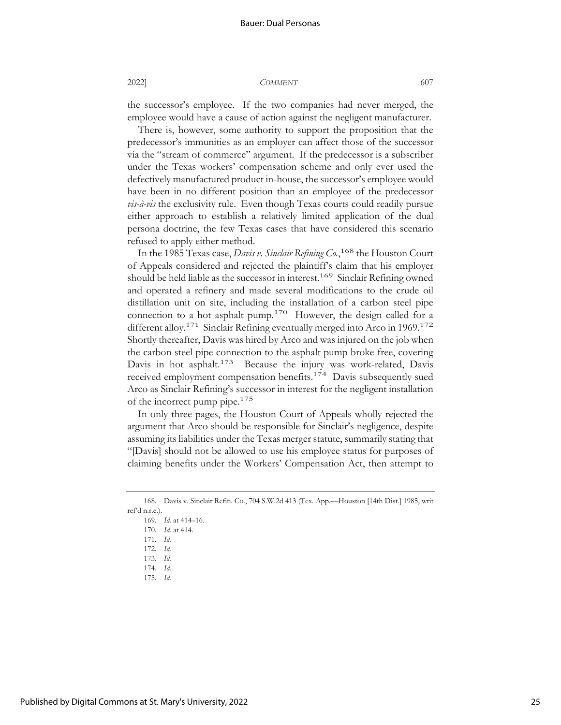the successor's employee. If the two companies had never merged, the employee would have a cause of action against the negligent manufacturer.

There is, however, some authority to support the proposition that the predecessor's immunities as an employer can affect those of the successor via the "stream of commerce" argument. If the predecessor is a subscriber under the Texas workers' compensation scheme and only ever used the defectively manufactured product in-house, the successor's employee would have been in no different position than an employee of the predecessor *vis-à-vis* the exclusivity rule. Even though Texas courts could readily pursue either approach to establish a relatively limited application of the dual persona doctrine, the few Texas cases that have considered this scenario refused to apply either method.

In the 1985 Texas case, *Davis v. Sinclair Refining Co.*, 168 the Houston Court of Appeals considered and rejected the plaintiff's claim that his employer should be held liable as the successor in interest.<sup>169</sup> Sinclair Refining owned and operated a refinery and made several modifications to the crude oil distillation unit on site, including the installation of a carbon steel pipe connection to a hot asphalt pump.<sup>170</sup> However, the design called for a different alloy.<sup>171</sup> Sinclair Refining eventually merged into Arco in 1969.<sup>172</sup> Shortly thereafter, Davis was hired by Arco and was injured on the job when the carbon steel pipe connection to the asphalt pump broke free, covering Davis in hot asphalt.<sup>173</sup> Because the injury was work-related, Davis received employment compensation benefits.<sup>174</sup> Davis subsequently sued Arco as Sinclair Refining's successor in interest for the negligent installation of the incorrect pump pipe.175

In only three pages, the Houston Court of Appeals wholly rejected the argument that Arco should be responsible for Sinclair's negligence, despite assuming its liabilities under the Texas merger statute, summarily stating that "[Davis] should not be allowed to use his employee status for purposes of claiming benefits under the Workers' Compensation Act, then attempt to

168. Davis v. Sinclair Refin. Co., 704 S.W.2d 413 (Tex. App.—Houston [14th Dist.] 1985, writ ref'd n.r.e.).

- 169. *Id.* at 414–16. 170. *Id.* at 414.
- 171. *Id.*
- 172. *Id.*
- 173. *Id.*
- 174. *Id.*
- 175. *Id.*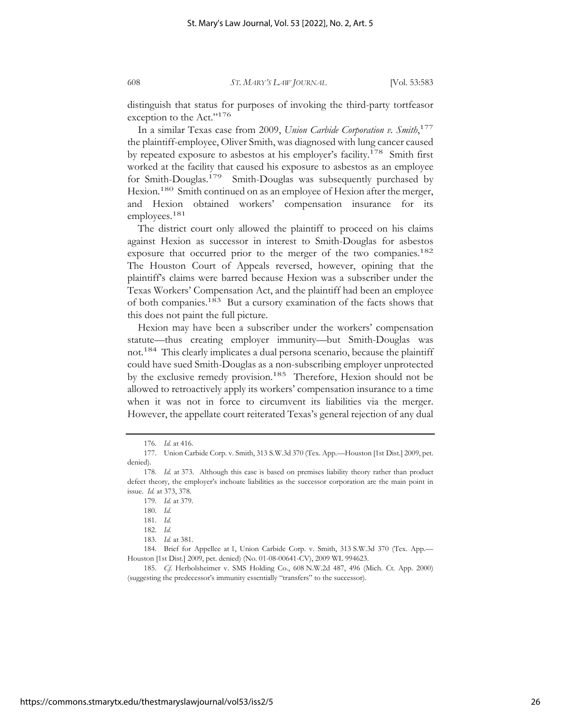distinguish that status for purposes of invoking the third-party tortfeasor exception to the Act."<sup>176</sup>

In a similar Texas case from 2009, *Union Carbide Corporation v. Smith*, 177 the plaintiff-employee, Oliver Smith, was diagnosed with lung cancer caused by repeated exposure to asbestos at his employer's facility.<sup>178</sup> Smith first worked at the facility that caused his exposure to asbestos as an employee for Smith-Douglas.179 Smith-Douglas was subsequently purchased by Hexion.<sup>180</sup> Smith continued on as an employee of Hexion after the merger, and Hexion obtained workers' compensation insurance for its employees.<sup>181</sup>

The district court only allowed the plaintiff to proceed on his claims against Hexion as successor in interest to Smith-Douglas for asbestos exposure that occurred prior to the merger of the two companies.<sup>182</sup> The Houston Court of Appeals reversed, however, opining that the plaintiff's claims were barred because Hexion was a subscriber under the Texas Workers' Compensation Act, and the plaintiff had been an employee of both companies.183 But a cursory examination of the facts shows that this does not paint the full picture.

Hexion may have been a subscriber under the workers' compensation statute—thus creating employer immunity—but Smith-Douglas was not.184 This clearly implicates a dual persona scenario, because the plaintiff could have sued Smith-Douglas as a non-subscribing employer unprotected by the exclusive remedy provision.<sup>185</sup> Therefore, Hexion should not be allowed to retroactively apply its workers' compensation insurance to a time when it was not in force to circumvent its liabilities via the merger. However, the appellate court reiterated Texas's general rejection of any dual

<sup>176.</sup> *Id.* at 416.

<sup>177.</sup> Union Carbide Corp. v. Smith, 313 S.W.3d 370 (Tex. App.—Houston [1st Dist.] 2009, pet. denied).

<sup>178.</sup> *Id.* at 373. Although this case is based on premises liability theory rather than product defect theory, the employer's inchoate liabilities as the successor corporation are the main point in issue. *Id.* at 373, 378.

<sup>179.</sup> *Id.* at 379.

<sup>180.</sup> *Id.*

<sup>181.</sup> *Id.*

<sup>182.</sup> *Id.*

<sup>183.</sup> *Id.* at 381.

<sup>184.</sup> Brief for Appellee at 1, Union Carbide Corp. v. Smith, 313 S.W.3d 370 (Tex. App.— Houston [1st Dist.] 2009, pet. denied) (No. 01-08-00641-CV), 2009 WL 994623.

<sup>185.</sup> *Cf.* Herbolsheimer v. SMS Holding Co., 608 N.W.2d 487, 496 (Mich. Ct. App. 2000) (suggesting the predecessor's immunity essentially "transfers" to the successor).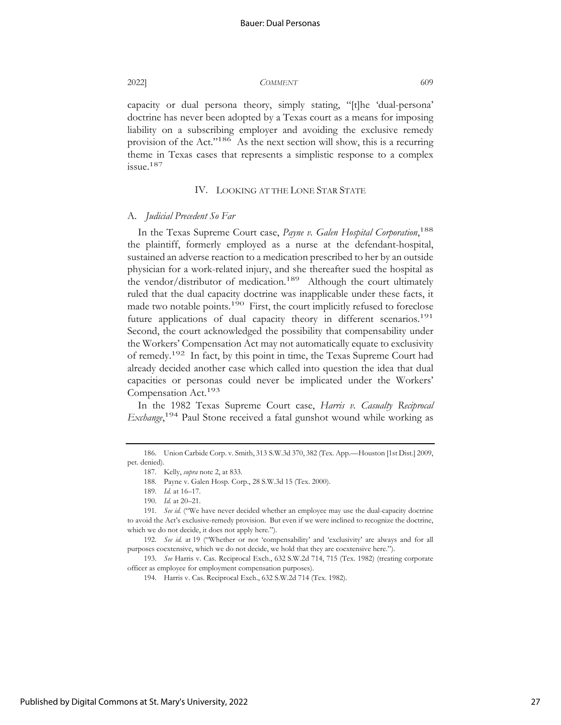capacity or dual persona theory, simply stating, "[t]he 'dual-persona' doctrine has never been adopted by a Texas court as a means for imposing liability on a subscribing employer and avoiding the exclusive remedy

provision of the Act."186 As the next section will show, this is a recurring theme in Texas cases that represents a simplistic response to a complex issue.187

#### IV. LOOKING AT THE LONE STAR STATE

#### A. *Judicial Precedent So Far*

In the Texas Supreme Court case, *Payne v. Galen Hospital Corporation*, 188 the plaintiff, formerly employed as a nurse at the defendant-hospital, sustained an adverse reaction to a medication prescribed to her by an outside physician for a work-related injury, and she thereafter sued the hospital as the vendor/distributor of medication.<sup>189</sup> Although the court ultimately ruled that the dual capacity doctrine was inapplicable under these facts, it made two notable points.<sup>190</sup> First, the court implicitly refused to foreclose future applications of dual capacity theory in different scenarios.<sup>191</sup> Second, the court acknowledged the possibility that compensability under the Workers' Compensation Act may not automatically equate to exclusivity of remedy.<sup>192</sup> In fact, by this point in time, the Texas Supreme Court had already decided another case which called into question the idea that dual capacities or personas could never be implicated under the Workers' Compensation Act.193

In the 1982 Texas Supreme Court case, *Harris v. Casualty Reciprocal Exchange*,<sup>194</sup> Paul Stone received a fatal gunshot wound while working as

<sup>186.</sup> Union Carbide Corp. v. Smith, 313 S.W.3d 370, 382 (Tex. App.—Houston [1st Dist.] 2009, pet. denied).

<sup>187.</sup> Kelly, *supra* note 2, at 833.

<sup>188.</sup> Payne v. Galen Hosp. Corp., 28 S.W.3d 15 (Tex. 2000).

<sup>189.</sup> *Id.* at 16–17.

<sup>190.</sup> *Id.* at 20–21.

<sup>191.</sup> *See id.* ("We have never decided whether an employee may use the dual-capacity doctrine to avoid the Act's exclusive-remedy provision. But even if we were inclined to recognize the doctrine, which we do not decide, it does not apply here.").

<sup>192.</sup> *See id.* at 19 ("Whether or not 'compensability' and 'exclusivity' are always and for all purposes coextensive, which we do not decide, we hold that they are coextensive here.").

<sup>193.</sup> *See* Harris v. Cas. Reciprocal Exch., 632 S.W.2d 714, 715 (Tex. 1982) (treating corporate officer as employee for employment compensation purposes).

<sup>194.</sup> Harris v. Cas. Reciprocal Exch., 632 S.W.2d 714 (Tex. 1982).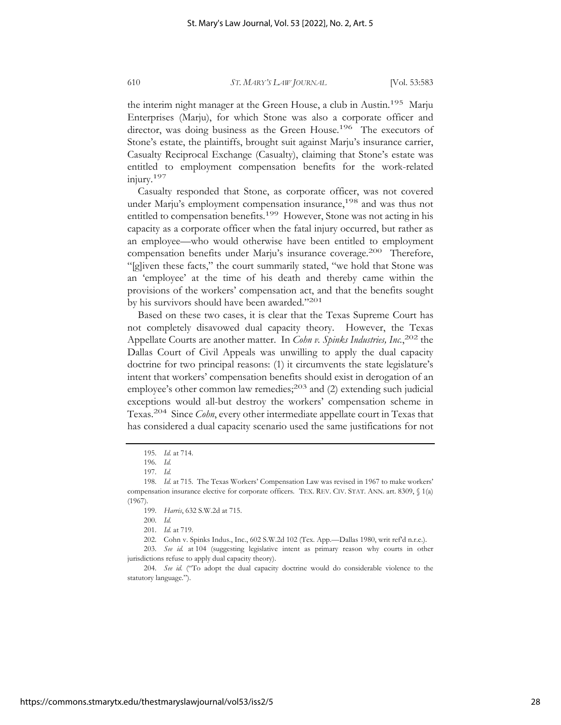the interim night manager at the Green House, a club in Austin.<sup>195</sup> Marju Enterprises (Marju), for which Stone was also a corporate officer and director, was doing business as the Green House.<sup>196</sup> The executors of Stone's estate, the plaintiffs, brought suit against Marju's insurance carrier, Casualty Reciprocal Exchange (Casualty), claiming that Stone's estate was entitled to employment compensation benefits for the work-related injury.197

Casualty responded that Stone, as corporate officer, was not covered under Marju's employment compensation insurance,<sup>198</sup> and was thus not entitled to compensation benefits.<sup>199</sup> However, Stone was not acting in his capacity as a corporate officer when the fatal injury occurred, but rather as an employee—who would otherwise have been entitled to employment compensation benefits under Marju's insurance coverage.<sup>200</sup> Therefore, "[g]iven these facts," the court summarily stated, "we hold that Stone was an 'employee' at the time of his death and thereby came within the provisions of the workers' compensation act, and that the benefits sought by his survivors should have been awarded."201

Based on these two cases, it is clear that the Texas Supreme Court has not completely disavowed dual capacity theory. However, the Texas Appellate Courts are another matter. In *Cohn v. Spinks Industries, Inc.*, 202 the Dallas Court of Civil Appeals was unwilling to apply the dual capacity doctrine for two principal reasons: (1) it circumvents the state legislature's intent that workers' compensation benefits should exist in derogation of an employee's other common law remedies; $^{203}$  and (2) extending such judicial exceptions would all-but destroy the workers' compensation scheme in Texas.204 Since *Cohn*, every other intermediate appellate court in Texas that has considered a dual capacity scenario used the same justifications for not

<sup>195.</sup> *Id.* at 714.

<sup>196.</sup> *Id.*

<sup>197.</sup> *Id.*

<sup>198.</sup> *Id.* at 715. The Texas Workers' Compensation Law was revised in 1967 to make workers' compensation insurance elective for corporate officers. TEX. REV. CIV. STAT. ANN. art. 8309, § 1(a) (1967).

<sup>199.</sup> *Harris*, 632 S.W.2d at 715.

<sup>200.</sup> *Id.*

<sup>201.</sup> *Id.* at 719.

<sup>202.</sup> Cohn v. Spinks Indus., Inc., 602 S.W.2d 102 (Tex. App.—Dallas 1980, writ ref'd n.r.e.).

<sup>203.</sup> *See id.* at 104 (suggesting legislative intent as primary reason why courts in other jurisdictions refuse to apply dual capacity theory).

<sup>204.</sup> *See id.* ("To adopt the dual capacity doctrine would do considerable violence to the statutory language.").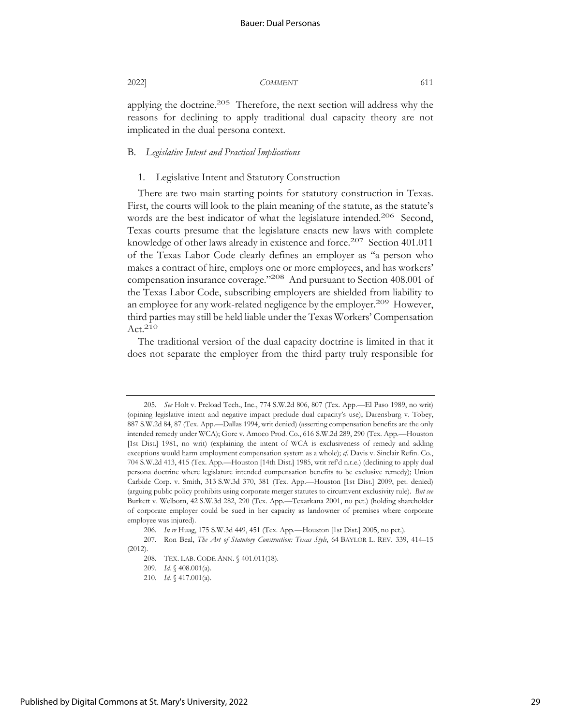applying the doctrine.<sup>205</sup> Therefore, the next section will address why the reasons for declining to apply traditional dual capacity theory are not implicated in the dual persona context.

#### B. *Legislative Intent and Practical Implications*

#### 1. Legislative Intent and Statutory Construction

There are two main starting points for statutory construction in Texas. First, the courts will look to the plain meaning of the statute, as the statute's words are the best indicator of what the legislature intended.<sup>206</sup> Second, Texas courts presume that the legislature enacts new laws with complete knowledge of other laws already in existence and force.<sup>207</sup> Section 401.011 of the Texas Labor Code clearly defines an employer as "a person who makes a contract of hire, employs one or more employees, and has workers' compensation insurance coverage."208 And pursuant to Section 408.001 of the Texas Labor Code, subscribing employers are shielded from liability to an employee for any work-related negligence by the employer.<sup>209</sup> However, third parties may still be held liable under the Texas Workers' Compensation  $Act.<sup>210</sup>$ 

The traditional version of the dual capacity doctrine is limited in that it does not separate the employer from the third party truly responsible for

<sup>205.</sup> *See* Holt v. Preload Tech., Inc., 774 S.W.2d 806, 807 (Tex. App.—El Paso 1989, no writ) (opining legislative intent and negative impact preclude dual capacity's use); Darensburg v. Tobey, 887 S.W.2d 84, 87 (Tex. App.—Dallas 1994, writ denied) (asserting compensation benefits are the only intended remedy under WCA); Gore v. Amoco Prod. Co., 616 S.W.2d 289, 290 (Tex. App.—Houston [1st Dist.] 1981, no writ) (explaining the intent of WCA is exclusiveness of remedy and adding exceptions would harm employment compensation system as a whole); *cf.* Davis v. Sinclair Refin. Co., 704 S.W.2d 413, 415 (Tex. App.—Houston [14th Dist.] 1985, writ ref'd n.r.e.) (declining to apply dual persona doctrine where legislature intended compensation benefits to be exclusive remedy); Union Carbide Corp. v. Smith, 313 S.W.3d 370, 381 (Tex. App.—Houston [1st Dist.] 2009, pet. denied) (arguing public policy prohibits using corporate merger statutes to circumvent exclusivity rule). *But see* Burkett v. Welborn, 42 S.W.3d 282, 290 (Tex. App.—Texarkana 2001, no pet.) (holding shareholder of corporate employer could be sued in her capacity as landowner of premises where corporate employee was injured).

<sup>206.</sup> *In re* Huag, 175 S.W.3d 449, 451 (Tex. App.—Houston [1st Dist.] 2005, no pet.).

<sup>207.</sup> Ron Beal, *The Art of Statutory Construction: Texas Style*, 64 BAYLOR L. REV. 339, 414–15 (2012).

<sup>208.</sup> TEX. LAB. CODE ANN. § 401.011(18).

<sup>209.</sup> *Id.* § 408.001(a).

<sup>210.</sup> *Id.* § 417.001(a).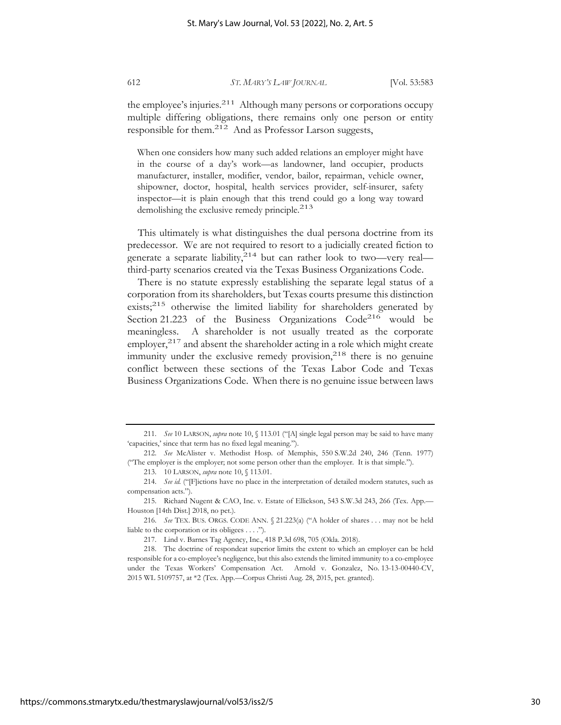the employee's injuries.<sup>211</sup> Although many persons or corporations occupy multiple differing obligations, there remains only one person or entity responsible for them.212 And as Professor Larson suggests,

When one considers how many such added relations an employer might have in the course of a day's work—as landowner, land occupier, products manufacturer, installer, modifier, vendor, bailor, repairman, vehicle owner, shipowner, doctor, hospital, health services provider, self-insurer, safety inspector—it is plain enough that this trend could go a long way toward demolishing the exclusive remedy principle.<sup>213</sup>

This ultimately is what distinguishes the dual persona doctrine from its predecessor. We are not required to resort to a judicially created fiction to generate a separate liability, $2^{14}$  but can rather look to two—very real third-party scenarios created via the Texas Business Organizations Code.

There is no statute expressly establishing the separate legal status of a corporation from its shareholders, but Texas courts presume this distinction exists;<sup>215</sup> otherwise the limited liability for shareholders generated by Section 21.223 of the Business Organizations  $Code<sup>216</sup>$  would be meaningless. A shareholder is not usually treated as the corporate employer,<sup>217</sup> and absent the shareholder acting in a role which might create immunity under the exclusive remedy provision, $2^{18}$  there is no genuine conflict between these sections of the Texas Labor Code and Texas Business Organizations Code. When there is no genuine issue between laws

<sup>211.</sup> *See* 10 LARSON, *supra* note 10, § 113.01 ("[A] single legal person may be said to have many 'capacities,' since that term has no fixed legal meaning.").

<sup>212.</sup> *See* McAlister v. Methodist Hosp. of Memphis, 550 S.W.2d 240, 246 (Tenn. 1977) ("The employer is the employer; not some person other than the employer. It is that simple.").

<sup>213. 10</sup> LARSON, *supra* note 10, § 113.01.

<sup>214.</sup> *See id.* ("[F]ictions have no place in the interpretation of detailed modern statutes, such as compensation acts.").

<sup>215.</sup> Richard Nugent & CAO, Inc. v. Estate of Ellickson, 543 S.W.3d 243, 266 (Tex. App.— Houston [14th Dist.] 2018, no pet.).

<sup>216.</sup> *See* TEX. BUS. ORGS. CODE ANN. § 21.223(a) ("A holder of shares . . . may not be held liable to the corporation or its obligees . . . .").

<sup>217.</sup> Lind v. Barnes Tag Agency, Inc., 418 P.3d 698, 705 (Okla. 2018).

<sup>218.</sup> The doctrine of respondeat superior limits the extent to which an employer can be held responsible for a co-employee's negligence, but this also extends the limited immunity to a co-employee under the Texas Workers' Compensation Act. Arnold v. Gonzalez, No. 13-13-00440-CV, 2015 WL 5109757, at \*2 (Tex. App.—Corpus Christi Aug. 28, 2015, pet. granted).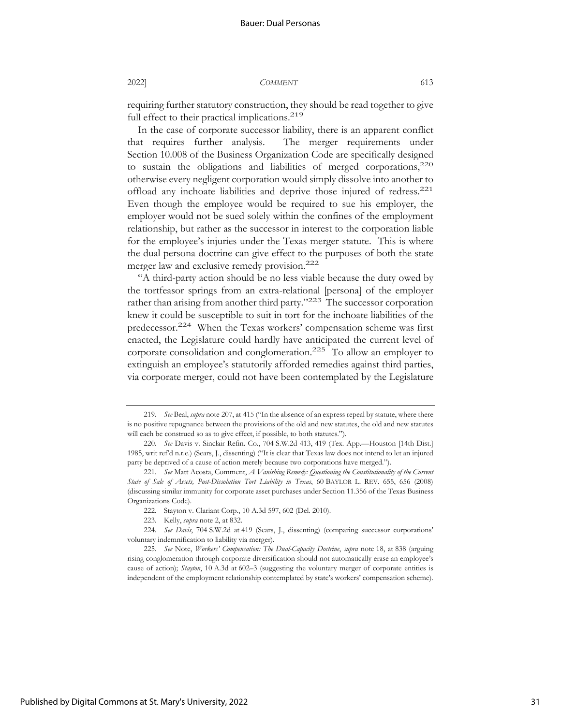requiring further statutory construction, they should be read together to give full effect to their practical implications.<sup>219</sup>

In the case of corporate successor liability, there is an apparent conflict that requires further analysis. The merger requirements under Section 10.008 of the Business Organization Code are specifically designed to sustain the obligations and liabilities of merged corporations, $220$ otherwise every negligent corporation would simply dissolve into another to offload any inchoate liabilities and deprive those injured of redress.221 Even though the employee would be required to sue his employer, the employer would not be sued solely within the confines of the employment relationship, but rather as the successor in interest to the corporation liable for the employee's injuries under the Texas merger statute. This is where the dual persona doctrine can give effect to the purposes of both the state merger law and exclusive remedy provision.222

"A third-party action should be no less viable because the duty owed by the tortfeasor springs from an extra-relational [persona] of the employer rather than arising from another third party."<sup>223</sup> The successor corporation knew it could be susceptible to suit in tort for the inchoate liabilities of the predecessor.<sup>224</sup> When the Texas workers' compensation scheme was first enacted, the Legislature could hardly have anticipated the current level of corporate consolidation and conglomeration.225 To allow an employer to extinguish an employee's statutorily afforded remedies against third parties, via corporate merger, could not have been contemplated by the Legislature

<sup>219.</sup> *See* Beal, *supra* note 207, at 415 ("In the absence of an express repeal by statute, where there is no positive repugnance between the provisions of the old and new statutes, the old and new statutes will each be construed so as to give effect, if possible, to both statutes.").

<sup>220.</sup> *See* Davis v. Sinclair Refin. Co., 704 S.W.2d 413, 419 (Tex. App.—Houston [14th Dist.] 1985, writ ref'd n.r.e.) (Sears, J., dissenting) ("It is clear that Texas law does not intend to let an injured party be deprived of a cause of action merely because two corporations have merged.").

<sup>221.</sup> *See* Matt Acosta, Comment, *A Vanishing Remedy: Questioning the Constitutionality of the Current State of Sale of Assets, Post-Dissolution Tort Liability in Texas*, 60 BAYLOR L. REV. 655, 656 (2008) (discussing similar immunity for corporate asset purchases under Section 11.356 of the Texas Business Organizations Code).

<sup>222.</sup> Stayton v. Clariant Corp., 10 A.3d 597, 602 (Del. 2010).

<sup>223.</sup> Kelly, *supra* note 2, at 832.

<sup>224.</sup> *See Davis*, 704 S.W.2d at 419 (Sears, J., dissenting) (comparing successor corporations' voluntary indemnification to liability via merger).

<sup>225.</sup> *See* Note, *Workers' Compensation: The Dual-Capacity Doctrine*, *supra* note 18, at 838 (arguing rising conglomeration through corporate diversification should not automatically erase an employee's cause of action); *Stayton*, 10 A.3d at 602–3 (suggesting the voluntary merger of corporate entities is independent of the employment relationship contemplated by state's workers' compensation scheme).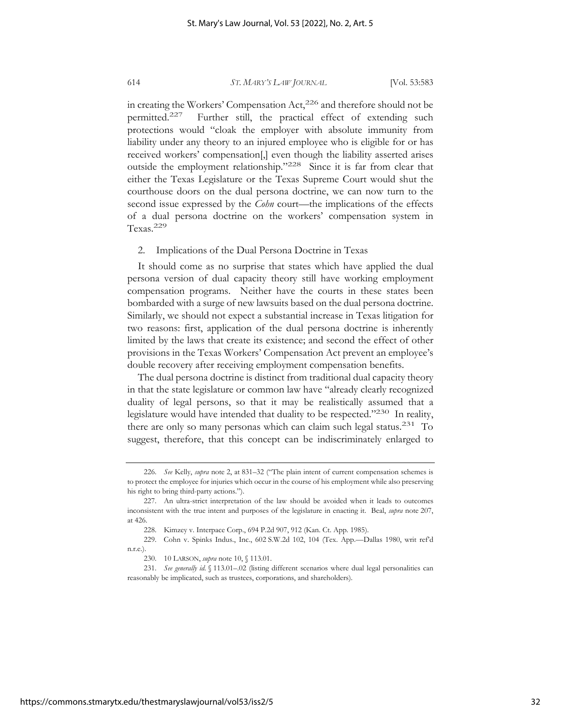in creating the Workers' Compensation Act,<sup>226</sup> and therefore should not be permitted.227 Further still, the practical effect of extending such protections would "cloak the employer with absolute immunity from liability under any theory to an injured employee who is eligible for or has received workers' compensation[,] even though the liability asserted arises outside the employment relationship."228 Since it is far from clear that either the Texas Legislature or the Texas Supreme Court would shut the courthouse doors on the dual persona doctrine, we can now turn to the second issue expressed by the *Cohn* court—the implications of the effects of a dual persona doctrine on the workers' compensation system in Texas.229

#### 2. Implications of the Dual Persona Doctrine in Texas

It should come as no surprise that states which have applied the dual persona version of dual capacity theory still have working employment compensation programs. Neither have the courts in these states been bombarded with a surge of new lawsuits based on the dual persona doctrine. Similarly, we should not expect a substantial increase in Texas litigation for two reasons: first, application of the dual persona doctrine is inherently limited by the laws that create its existence; and second the effect of other provisions in the Texas Workers' Compensation Act prevent an employee's double recovery after receiving employment compensation benefits.

The dual persona doctrine is distinct from traditional dual capacity theory in that the state legislature or common law have "already clearly recognized duality of legal persons, so that it may be realistically assumed that a legislature would have intended that duality to be respected."230 In reality, there are only so many personas which can claim such legal status.<sup>231</sup> To suggest, therefore, that this concept can be indiscriminately enlarged to

<sup>226.</sup> *See* Kelly, *supra* note 2, at 831–32 ("The plain intent of current compensation schemes is to protect the employee for injuries which occur in the course of his employment while also preserving his right to bring third-party actions.").

<sup>227.</sup> An ultra-strict interpretation of the law should be avoided when it leads to outcomes inconsistent with the true intent and purposes of the legislature in enacting it. Beal, *supra* note 207, at 426.

<sup>228.</sup> Kimzey v. Interpace Corp., 694 P.2d 907, 912 (Kan. Ct. App. 1985).

<sup>229.</sup> Cohn v. Spinks Indus., Inc., 602 S.W.2d 102, 104 (Tex. App.—Dallas 1980, writ ref'd n.r.e.).

<sup>230. 10</sup> LARSON, *supra* note 10, § 113.01.

<sup>231.</sup> See generally id. § 113.01-.02 (listing different scenarios where dual legal personalities can reasonably be implicated, such as trustees, corporations, and shareholders).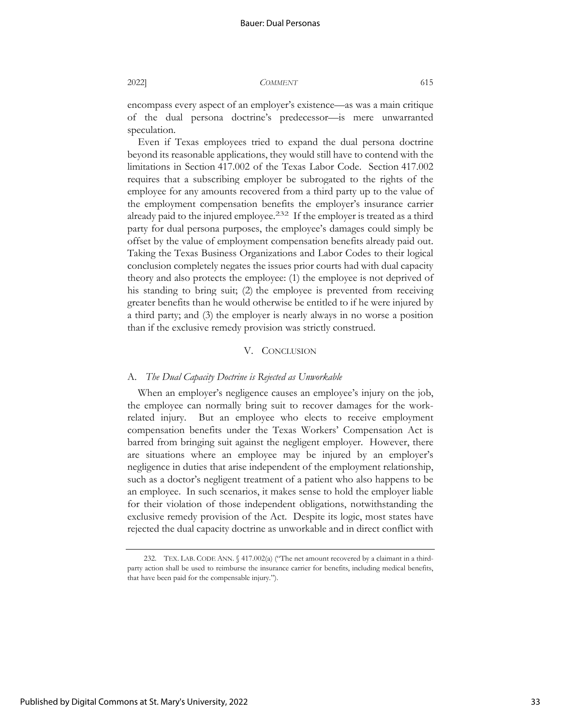encompass every aspect of an employer's existence—as was a main critique of the dual persona doctrine's predecessor—is mere unwarranted speculation.

Even if Texas employees tried to expand the dual persona doctrine beyond its reasonable applications, they would still have to contend with the limitations in Section 417.002 of the Texas Labor Code. Section 417.002 requires that a subscribing employer be subrogated to the rights of the employee for any amounts recovered from a third party up to the value of the employment compensation benefits the employer's insurance carrier already paid to the injured employee.<sup>232</sup> If the employer is treated as a third party for dual persona purposes, the employee's damages could simply be offset by the value of employment compensation benefits already paid out. Taking the Texas Business Organizations and Labor Codes to their logical conclusion completely negates the issues prior courts had with dual capacity theory and also protects the employee: (1) the employee is not deprived of his standing to bring suit; (2) the employee is prevented from receiving greater benefits than he would otherwise be entitled to if he were injured by a third party; and (3) the employer is nearly always in no worse a position than if the exclusive remedy provision was strictly construed.

#### V. CONCLUSION

#### A. *The Dual Capacity Doctrine is Rejected as Unworkable*

When an employer's negligence causes an employee's injury on the job, the employee can normally bring suit to recover damages for the workrelated injury. But an employee who elects to receive employment compensation benefits under the Texas Workers' Compensation Act is barred from bringing suit against the negligent employer. However, there are situations where an employee may be injured by an employer's negligence in duties that arise independent of the employment relationship, such as a doctor's negligent treatment of a patient who also happens to be an employee. In such scenarios, it makes sense to hold the employer liable for their violation of those independent obligations, notwithstanding the exclusive remedy provision of the Act. Despite its logic, most states have rejected the dual capacity doctrine as unworkable and in direct conflict with

<sup>232.</sup> TEX. LAB. CODE ANN. § 417.002(a) ("The net amount recovered by a claimant in a thirdparty action shall be used to reimburse the insurance carrier for benefits, including medical benefits, that have been paid for the compensable injury.").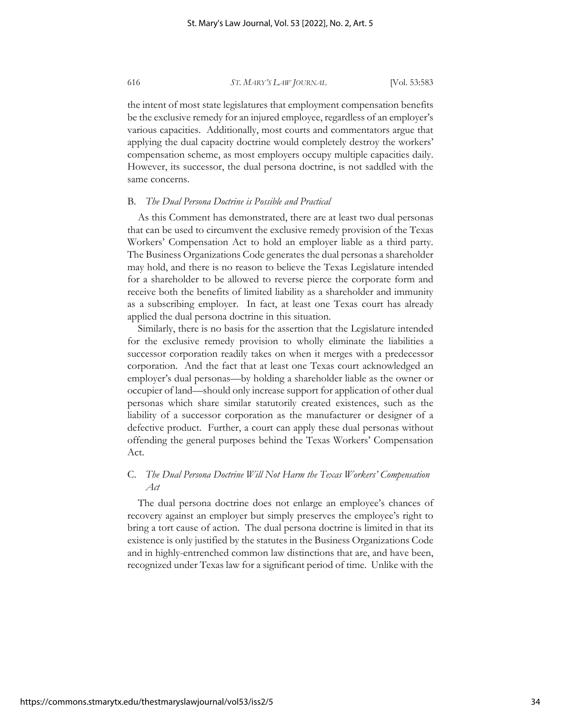the intent of most state legislatures that employment compensation benefits be the exclusive remedy for an injured employee, regardless of an employer's various capacities. Additionally, most courts and commentators argue that applying the dual capacity doctrine would completely destroy the workers' compensation scheme, as most employers occupy multiple capacities daily. However, its successor, the dual persona doctrine, is not saddled with the same concerns.

#### B. *The Dual Persona Doctrine is Possible and Practical*

As this Comment has demonstrated, there are at least two dual personas that can be used to circumvent the exclusive remedy provision of the Texas Workers' Compensation Act to hold an employer liable as a third party. The Business Organizations Code generates the dual personas a shareholder may hold, and there is no reason to believe the Texas Legislature intended for a shareholder to be allowed to reverse pierce the corporate form and receive both the benefits of limited liability as a shareholder and immunity as a subscribing employer. In fact, at least one Texas court has already applied the dual persona doctrine in this situation.

Similarly, there is no basis for the assertion that the Legislature intended for the exclusive remedy provision to wholly eliminate the liabilities a successor corporation readily takes on when it merges with a predecessor corporation. And the fact that at least one Texas court acknowledged an employer's dual personas—by holding a shareholder liable as the owner or occupier of land—should only increase support for application of other dual personas which share similar statutorily created existences, such as the liability of a successor corporation as the manufacturer or designer of a defective product. Further, a court can apply these dual personas without offending the general purposes behind the Texas Workers' Compensation Act.

## C. *The Dual Persona Doctrine Will Not Harm the Texas Workers' Compensation Act*

The dual persona doctrine does not enlarge an employee's chances of recovery against an employer but simply preserves the employee's right to bring a tort cause of action. The dual persona doctrine is limited in that its existence is only justified by the statutes in the Business Organizations Code and in highly-entrenched common law distinctions that are, and have been, recognized under Texas law for a significant period of time. Unlike with the